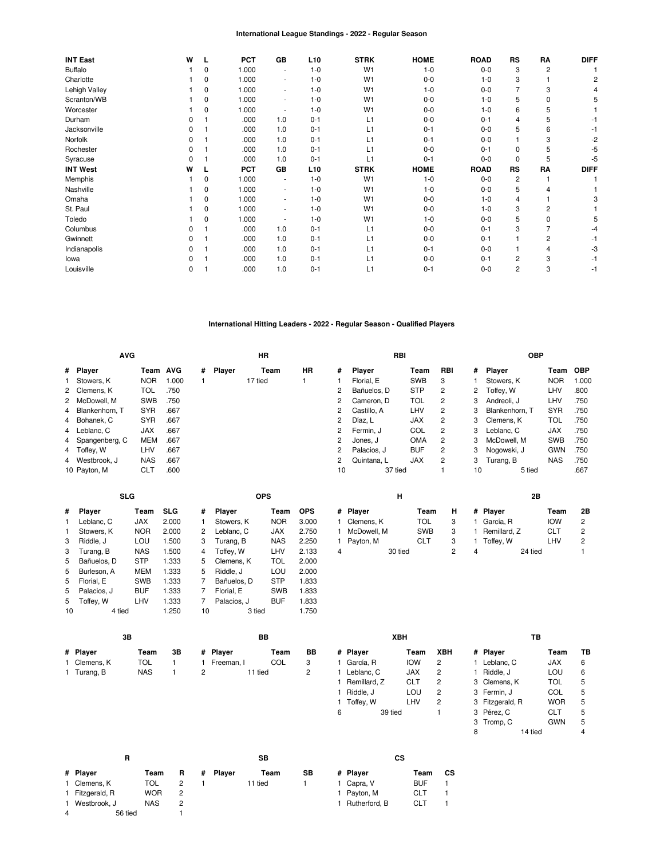#### **International League Standings - 2022 - Regular Season**

| <b>INT East</b> | W            |   | <b>PCT</b> | GB  | L <sub>10</sub> | <b>STRK</b>    | <b>HOME</b> | <b>ROAD</b> | <b>RS</b>      | RA          | <b>DIFF</b> |
|-----------------|--------------|---|------------|-----|-----------------|----------------|-------------|-------------|----------------|-------------|-------------|
| <b>Buffalo</b>  |              | 0 | 1.000      | ۰   | $1 - 0$         | W <sub>1</sub> | $1 - 0$     | $0-0$       | 3              | 2           |             |
| Charlotte       |              | 0 | 1.000      | ۰.  | $1 - 0$         | W <sub>1</sub> | $0-0$       | $1 - 0$     | 3              |             |             |
| Lehigh Valley   |              | 0 | 1.000      | ۰.  | $1 - 0$         | W <sub>1</sub> | $1 - 0$     | $0 - 0$     |                | 3           |             |
| Scranton/WB     |              | 0 | 1.000      | ٠   | $1 - 0$         | W <sub>1</sub> | $0-0$       | $1 - 0$     | 5              | 0           |             |
| Worcester       |              | 0 | 1.000      | ٠   | $1 - 0$         | W <sub>1</sub> | $0-0$       | $1 - 0$     | 6              | 5           |             |
| Durham          | O            |   | .000       | 1.0 | $0 - 1$         | L1             | $0-0$       | $0 - 1$     | 4              | 5           |             |
| Jacksonville    |              |   | .000       | 1.0 | $0 - 1$         | L1             | $0 - 1$     | $0-0$       | 5              | 6           |             |
| Norfolk         | ŋ            |   | .000       | 1.0 | $0 - 1$         | L1             | $0 - 1$     | $0 - 0$     |                | 3           | -2          |
| Rochester       | 0            |   | .000       | 1.0 | $0 - 1$         | L1             | $0 - 0$     | $0 - 1$     | $\Omega$       | 5           | -5          |
| Syracuse        | 0            |   | .000       | 1.0 | $0 - 1$         | L1             | $0 - 1$     | $0-0$       | $\Omega$       | 5           | -5          |
| <b>INT West</b> | W            |   | <b>PCT</b> | GB  | L <sub>10</sub> | <b>STRK</b>    | <b>HOME</b> | <b>ROAD</b> | <b>RS</b>      | RA          | <b>DIFF</b> |
| Memphis         |              | 0 | 1.000      | ٠   | $1 - 0$         | W <sub>1</sub> | $1 - 0$     | $0-0$       | $\overline{2}$ |             |             |
| Nashville       |              | 0 | 1.000      | ٠   | $1 - 0$         | W <sub>1</sub> | $1 - 0$     | $0-0$       | 5              | 4           |             |
| Omaha           |              | 0 | 1.000      | ۰.  | $1 - 0$         | W <sub>1</sub> | $0-0$       | $1 - 0$     | 4              |             |             |
| St. Paul        |              | 0 | 1.000      | ٠   | $1 - 0$         | W <sub>1</sub> | $0-0$       | $1 - 0$     | 3              | 2           |             |
| Toledo          |              | 0 | 1.000      | ٠   | $1 - 0$         | W <sub>1</sub> | $1 - 0$     | $0-0$       | 5              | $\mathbf 0$ | 5           |
| Columbus        |              |   | .000       | 1.0 | $0 - 1$         | L1             | $0-0$       | $0 - 1$     | 3              |             |             |
| Gwinnett        | 0            |   | .000       | 1.0 | $0 - 1$         | L1             | $0-0$       | $0 - 1$     |                | 2           | -1          |
| Indianapolis    | <sup>0</sup> |   | .000       | 1.0 | $0 - 1$         | L1             | $0 - 1$     | $0 - 0$     |                | 4           | -3          |
| lowa            |              |   | .000       | 1.0 | $0 - 1$         | L1             | $0-0$       | $0 - 1$     | 2              | 3           | -1          |
| Louisville      | 0            |   | .000       | 1.0 | $0 - 1$         | L1             | $0 - 1$     | $0 - 0$     | 2              | 3           | -1          |

### **International Hitting Leaders - 2022 - Regular Season - Qualified Players**

| <b>AVG</b>       |            |            |   |               | ΗR      |    |              |               | RBI     |            |            |    | <b>OBP</b>     |            |            |
|------------------|------------|------------|---|---------------|---------|----|--------------|---------------|---------|------------|------------|----|----------------|------------|------------|
| # Player         | Team       | <b>AVG</b> | # | <b>Player</b> | Team    | HR | #            | <b>Plaver</b> |         | Team       | <b>RBI</b> | #  | Player         | Team       | <b>OBP</b> |
| 1 Stowers, K     | <b>NOR</b> | 1.000      |   |               | 17 tied |    |              | Florial. E    |         | <b>SWB</b> | 3          |    | Stowers, K     | <b>NOR</b> | 1.000      |
| 2 Clemens, K     | TOL        | .750       |   |               |         |    |              | Bañuelos. D   |         | <b>STP</b> | 2          | 2  | Toffey, W      | LHV        | .800       |
| 2 McDowell, M    | <b>SWB</b> | .750       |   |               |         |    | 2            | Cameron. D    |         | <b>TOL</b> | 2          | 3  | Andreoli, J    | LHV        | .750       |
| 4 Blankenhorn, T | <b>SYR</b> | .667       |   |               |         |    | 2            | Castillo, A   |         | LHV        | 2          | 3  | Blankenhorn. T | <b>SYR</b> | .750       |
| 4 Bohanek, C     | <b>SYR</b> | .667       |   |               |         |    | 2            | Díaz. L       |         | <b>JAX</b> | 2          | 3  | Clemens, K     | TOL        | .750       |
| 4 Leblanc, C     | <b>JAX</b> | .667       |   |               |         |    | $\mathbf{2}$ | Fermin. J     |         | COL        | 2          | 3  | Leblanc, C     | <b>JAX</b> | .750       |
| 4 Spangenberg, C | <b>MEM</b> | .667       |   |               |         |    | 2            | Jones. J      |         | <b>OMA</b> | 2          | 3  | McDowell, M    | <b>SWB</b> | .750       |
| 4 Toffev. W      | LHV        | .667       |   |               |         |    | 2            | Palacios, J   |         | <b>BUF</b> | 2          | 3  | Nogowski, J    | <b>GWN</b> | .750       |
| 4 Westbrook, J   | <b>NAS</b> | .667       |   |               |         |    | 2            | Quintana. L   |         | <b>JAX</b> | 2          | 3  | Turang, B      | <b>NAS</b> | .750       |
| 10 Payton, M     | <b>CLT</b> | .600       |   |               |         |    | 10           |               | 37 tied |            |            | 10 | 5 tied         |            | .667       |

|    | <b>SLG</b>  |            |       |    | <b>OPS</b>  |            |            |
|----|-------------|------------|-------|----|-------------|------------|------------|
| #  | Player      | Team       | SLG   | #  | Player      | Team       | <b>OPS</b> |
| 1  | Leblanc, C  | <b>JAX</b> | 2.000 | 1  | Stowers, K  | <b>NOR</b> | 3.000      |
| 1  | Stowers, K  | <b>NOR</b> | 2.000 | 2  | Leblanc, C  | <b>JAX</b> | 2.750      |
| 3  | Riddle, J   | LOU        | 1.500 | 3  | Turang, B   | <b>NAS</b> | 2.250      |
| 3  | Turang, B   | <b>NAS</b> | 1.500 | 4  | Toffey, W   | LHV        | 2.133      |
| 5  | Bañuelos. D | <b>STP</b> | 1.333 | 5  | Clemens, K  | TOL        | 2.000      |
| 5  | Burleson, A | <b>MEM</b> | 1.333 | 5  | Riddle, J   | LOU        | 2.000      |
| 5  | Florial. E  | <b>SWB</b> | 1.333 | 7  | Bañuelos. D | <b>STP</b> | 1.833      |
| 5  | Palacios, J | <b>BUF</b> | 1.333 | 7  | Florial. E  | <b>SWB</b> | 1.833      |
| 5  | Toffey, W   | LHV        | 1.333 | 7  | Palacios, J | BUF        | 1.833      |
| 10 | 4 tied      |            | 1.250 | 10 | 3 tied      |            | 1.750      |

**[BB](https://research.mlb.com/stats/players#baseOnBallsstatGroup=hitting)**

**# Player Team BB**

2 11 tied 2

1 [Freeman,](https://research.mlb.com/players/687705/stats#orgId=117) I

**[3B](https://research.mlb.com/stats/players#statGroup=hitting) # Player Team 3B** 1 [Clemens,](https://research.mlb.com/players/665019/stats#orgId=117) K [TOL](https://research.mlb.com/teams/512/stats#timeframe=2022)<br>1 Turang, B NAS 1 [Turang,](https://research.mlb.com/players/668930/stats#orgId=117) B [NAS](https://research.mlb.com/teams/556/stats#timeframe=2022) 1

|   | н             |            |   | 2Β                 |            |    |
|---|---------------|------------|---|--------------------|------------|----|
|   | # Player      | Team       | н | # Player           | Team       | 2Β |
|   | 1 Clemens, K  | TOL        | 3 | García. R<br>1     | <b>IOW</b> | 2  |
|   | 1 McDowell, M | <b>SWB</b> | 3 | Remillard, Z<br>1. | <b>CLT</b> | 2  |
|   | 1 Payton, M   | CLT        | 3 | Toffey, W<br>1.    | LHV        | 2  |
| 4 | 30 tied       |            |   | 24 tied<br>4       |            |    |

|   | XBH          |            |     |   |                 | ΤВ         |    |
|---|--------------|------------|-----|---|-----------------|------------|----|
| # | Player       | Team       | XBH | # | Player          | Team       | ΤВ |
|   | García. R    | <b>IOW</b> | 2   |   | Leblanc. C      | JAX        | 6  |
| 1 | Leblanc, C   | <b>JAX</b> | 2   |   | Riddle, J       | LOU        | 6  |
|   | Remillard, Z | <b>CLT</b> | 2   |   | 3 Clemens, K    | TOL        | 5  |
|   | Riddle, J    | LOU        | 2   |   | 3 Fermin. J     | COL        | 5  |
|   | Toffey, W    | LHV        | 2   |   | 3 Fitzgerald, R | <b>WOR</b> | 5  |
| 6 | 39 tied      |            |     |   | 3 Pérez, C      | CLT        | 5  |
|   |              |            |     |   | 3 Tromp, C      | <b>GWN</b> | 5  |
|   |              |            |     | я | 14 tiod         |            | Δ  |

|   | R               |            |    |   |        | SВ      |    |   |
|---|-----------------|------------|----|---|--------|---------|----|---|
|   | # Player        | Team       | R. | # | Player | Team    | SВ | ŧ |
|   | 1 Clemens, K    | TOL        | 2  |   |        | 11 tied |    |   |
|   | 1 Fitzgerald, R | <b>WOR</b> | 2  |   |        |         |    |   |
|   | 1 Westbrook, J  | <b>NAS</b> | 2  |   |        |         |    |   |
| 4 | 56 tied         |            |    |   |        |         |    |   |

**[CS](https://research.mlb.com/stats/players#statGroup=hitting) # Player Team CS** [Capra,](https://research.mlb.com/players/681962/stats#orgId=117) V<br>
Payton, M CLT 1

[Payton,](https://research.mlb.com/players/592622/stats#orgId=117) M [CLT](https://research.mlb.com/teams/494/stats#timeframe=2022) 1 [Rutherford,](https://research.mlb.com/players/666164/stats#orgId=117) B [CLT](https://research.mlb.com/teams/494/stats#timeframe=2022) 1

|   | 3 Clemens. K    | IUL        |   |
|---|-----------------|------------|---|
|   | 3 Fermin, J     | COL        | 5 |
|   | 3 Fitzgerald, R | <b>WOR</b> | 5 |
|   | 3 Pérez, C      | CLT        | 5 |
|   | 3 Tromp, C      | GWN        | 5 |
| 8 | 14 tied         |            | 4 |
|   |                 |            |   |
|   |                 |            |   |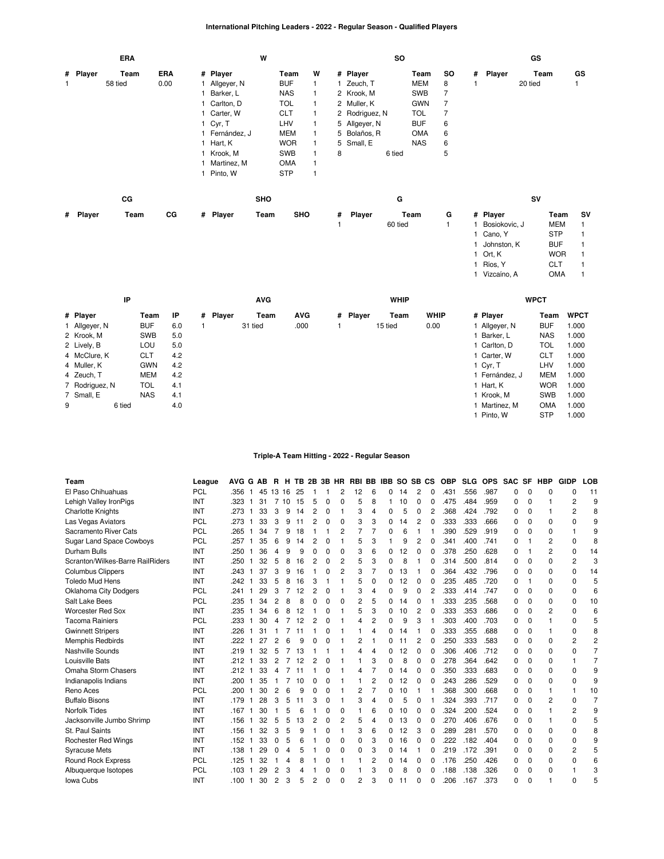### **International Pitching Leaders - 2022 - Regular Season - Qualified Players**

|          | <b>ERA</b> |            | W              |            |   |   | so             |            |    |          | GS      |    |
|----------|------------|------------|----------------|------------|---|---|----------------|------------|----|----------|---------|----|
| # Player | Team       | <b>ERA</b> | # Player       | Team       | W |   | # Player       | Team       | so | # Player | Team    | GS |
|          | 58 tied    | 0.00       | Allgeyer, N    | <b>BUF</b> |   |   | Zeuch, T       | <b>MEM</b> | 8  |          | 20 tied |    |
|          |            |            | 1 Barker, L    | <b>NAS</b> |   |   | 2 Krook, M     | <b>SWB</b> |    |          |         |    |
|          |            |            | 1 Carlton, D   | <b>TOL</b> |   |   | 2 Muller, K    | <b>GWN</b> |    |          |         |    |
|          |            |            | 1 Carter, W    | <b>CLT</b> |   |   | 2 Rodriguez, N | <b>TOL</b> |    |          |         |    |
|          |            |            | 1 Cyr, T       | LHV        |   |   | 5 Allgeyer, N  | <b>BUF</b> | 6  |          |         |    |
|          |            |            | 1 Fernández, J | <b>MEM</b> |   |   | 5 Bolaños, R   | <b>OMA</b> | 6  |          |         |    |
|          |            |            | 1 Hart, K      | <b>WOR</b> |   |   | 5 Small, E     | <b>NAS</b> | 6  |          |         |    |
|          |            |            | 1 Krook, M     | <b>SWB</b> |   | 8 | 6 tied         |            | 5  |          |         |    |
|          |            |            | Martinez, M    | <b>OMA</b> |   |   |                |            |    |          |         |    |

1 [Pinto,](https://research.mlb.com/players/660749/stats#orgId=117) W [STP](https://research.mlb.com/teams/1960/stats#timeframe=2022) 1

|          | СG   |    |          | <b>SHO</b> |            |   |        | G       |   | SV            |            |    |
|----------|------|----|----------|------------|------------|---|--------|---------|---|---------------|------------|----|
| # Player | Team | CG | # Player | Team       | <b>SHO</b> | # | Player | Team    | G | # Player      | Team       | sv |
|          |      |    |          |            |            |   |        | 60 tied |   | Bosiokovic, J | <b>MEM</b> |    |
|          |      |    |          |            |            |   |        |         |   | Cano, Y       | <b>STP</b> |    |
|          |      |    |          |            |            |   |        |         |   | Johnston, K   | <b>BUF</b> |    |
|          |      |    |          |            |            |   |        |         |   | Ort, K        | <b>WOR</b> |    |
|          |      |    |          |            |            |   |        |         |   | Ríos, Y       | <b>CLT</b> |    |

1 [Vizcaíno,](https://research.mlb.com/players/527055/stats#orgId=117) A [OMA](https://research.mlb.com/teams/541/stats#timeframe=2022) 1

|   | IP             |            |     |          | <b>AVG</b> |            |          | <b>WHIP</b> |             |                | <b>WPCT</b> |             |
|---|----------------|------------|-----|----------|------------|------------|----------|-------------|-------------|----------------|-------------|-------------|
|   | # Player       | Team       | IP  | # Player | Team       | <b>AVG</b> | # Player | Team        | <b>WHIP</b> | # Player       | Team        | <b>WPCT</b> |
|   | 1 Allgeyer, N  | <b>BUF</b> | 6.0 |          | 31 tied    | .000       |          | 15 tied     | 0.00        | I Allgeyer, N  | <b>BUF</b>  | 1.000       |
|   | 2 Krook, M     | <b>SWB</b> | 5.0 |          |            |            |          |             |             | Barker, L      | <b>NAS</b>  | 1.000       |
|   | 2 Lively, B    | LOU        | 5.0 |          |            |            |          |             |             | 1 Carlton, D   | <b>TOL</b>  | 1.000       |
|   | 4 McClure, K   | <b>CLT</b> | 4.2 |          |            |            |          |             |             | 1 Carter, W    | <b>CLT</b>  | 1.000       |
|   | 4 Muller, K    | <b>GWN</b> | 4.2 |          |            |            |          |             |             | 1 Cyr, T       | LHV         | 1.000       |
|   | 4 Zeuch, T     | <b>MEM</b> | 4.2 |          |            |            |          |             |             | 1 Fernández. J | <b>MEM</b>  | 1.000       |
|   | 7 Rodriguez, N | <b>TOL</b> | 4.1 |          |            |            |          |             |             | 1 Hart, K      | <b>WOR</b>  | 1.000       |
|   | 7 Small, E     | <b>NAS</b> | 4.1 |          |            |            |          |             |             | 1 Krook, M     | <b>SWB</b>  | 1.000       |
| 9 | 6 tied         |            | 4.0 |          |            |            |          |             |             | 1 Martinez, M  | <b>OMA</b>  | 1.000       |
|   |                |            |     |          |            |            |          |             |             | Pinto. W       | <b>STP</b>  | 1.000       |

#### **Triple-A Team Hitting - 2022 - Regular Season**

| Team                             | League     | <b>AVG</b><br>G | АB | R              | н  | ΤВ | 2B | 3В | HR | <b>RBI</b> | BB             | IBB | <b>SO</b> |                | SB CS | <b>OBP</b> | <b>SLG</b> | <b>OPS</b> | <b>SAC</b>  | SF          | <b>HBP</b>     | <b>GIDP</b> | LOB            |
|----------------------------------|------------|-----------------|----|----------------|----|----|----|----|----|------------|----------------|-----|-----------|----------------|-------|------------|------------|------------|-------------|-------------|----------------|-------------|----------------|
| El Paso Chihuahuas               | PCL        | .356            | 45 | 13 16          |    | 25 |    |    | 2  | 12         | 6              | 0   | 14        | 2              | 0     | .431       | .556       | .987       | 0           | 0           | O              | 0           | 11             |
| Lehigh Valley IronPigs           | INT        | .323            | 31 | 7              | 10 | 15 | 5  | 0  | O  |            | 8              |     | 10        | 0              | 0     | .475       | .484       | .959       | $\Omega$    | $\Omega$    |                | 2           | g              |
| <b>Charlotte Knights</b>         | INT        | .273            | 33 | 3              | 9  | 14 | 2  | O  |    | 3          | 4              | O   | 5         | 0              | 2     | .368       | .424       | .792       | 0           | $\Omega$    |                | 2           | 8              |
| Las Vegas Aviators               | <b>PCL</b> | .273            | 33 | 3              | 9  | 11 | 2  | 0  | 0  | 3          | 3              | 0   | 14        | 2              | 0     | .333       | .333       | .666       | $\Omega$    | $\Omega$    | $\Omega$       | 0           | 9              |
| Sacramento River Cats            | <b>PCL</b> | .265            | 34 |                | 9  | 18 |    |    |    |            |                | O   | 6         |                |       | .390       | .529       | .919       | 0           | 0           | 0              |             | 9              |
| Sugar Land Space Cowboys         | <b>PCL</b> | .257            | 35 | 6              | 9  | 14 | 2  |    |    | 5          | 3              |     | 9         | 2              | 0     | .341       | .400       | .741       | 0           |             | 2              | 0           | 8              |
| Durham Bulls                     | INT        | .250            | 36 |                | g  | 9  | 0  | 0  | 0  | 3          | 6              | O   | 12        | 0              | 0     | .378       | .250       | .628       | $\Omega$    |             | $\overline{2}$ | 0           | 14             |
| Scranton/Wilkes-Barre RailRiders | INT        | .250            | 32 | 5              | 8  | 16 | 2  | 0  | 2  | 5          | 3              | O   | 8         |                | 0     | .314       | .500       | .814       | $\Omega$    | $\Omega$    | $\Omega$       | 2           | 3              |
| <b>Columbus Clippers</b>         | INT        | .243            | 37 | 3              | 9  | 16 |    |    | 2  | 3          | $\overline{7}$ | 0   | 13        |                | 0     | .364       | .432       | .796       | 0           | 0           | 0              | 0           | 14             |
| <b>Toledo Mud Hens</b>           | INT        | .242            | 33 | 5              | 8  | 16 | 3  |    |    | 5          | 0              | 0   | 12        | 0              | 0     | 235        | .485       | .720       | 0           |             | $\Omega$       | 0           | 5              |
| Oklahoma City Dodgers            | <b>PCL</b> | .241            | 29 | 3              |    | 12 | 2  |    |    | 3          | 4              | 0   | 9         | 0              | 2     | .333       | .414       | .747       | 0           | $\Omega$    | 0              | 0           | 6              |
| Salt Lake Bees                   | <b>PCL</b> | .235            | 34 | 2              | 8  | 8  | O  | O  | O  | 2          | 5              | O   | 14        | 0              |       | .333       | .235       | .568       | 0           | $\Omega$    | 0              | 0           | 10             |
| Worcester Red Sox                | INT        | .235            | 34 |                | R  | 12 |    | n  |    | 5          | 3              | 0   | 10        | 2              | O     | .333       | .353       | .686       | $\Omega$    | $\Omega$    | 2              | 0           | 6              |
| <b>Tacoma Rainiers</b>           | <b>PCL</b> | .233            | 30 |                |    | 12 | 2  |    |    | 4          | 2              | O   | 9         | 3              |       | .303       | .400       | .703       | 0           | 0           |                | 0           | 5              |
| <b>Gwinnett Stripers</b>         | INT        | .226            | 31 |                |    |    |    | O  |    |            | 4              | 0   | 14        |                | 0     | .333       | .355       | .688       | 0           | 0           |                | 0           | 8              |
| <b>Memphis Redbirds</b>          | INT        | .222            | 27 | 2              | հ  | g  | ი  |    |    | 2          |                | O   | 11        | $\overline{2}$ | 0     | .250       | .333       | .583       | 0           | $\mathbf 0$ | $\Omega$       | 2           | $\overline{2}$ |
| Nashville Sounds                 | INT        | .219            | 32 | 5              |    | 13 |    |    |    | 4          | 4              | O   | 12        | 0              | 0     | .306       | .406       | .712       | 0           | $\Omega$    | 0              | 0           | $\overline{7}$ |
| Louisville Bats                  | INT        | .212            | 33 | 2              |    | 12 | 2  |    |    |            | 3              | O   | 8         | 0              | 0     | .278       | .364       | .642       | 0           | $\Omega$    | 0              |             | 7              |
| Omaha Storm Chasers              | INT        | .212            | 33 |                |    | 11 |    |    |    | 4          | 7              | O   | 14        | 0              | 0     | .350       | .333       | .683       | 0           | 0           | 0              | 0           | 9              |
| Indianapolis Indians             | INT        | .200            | 35 |                |    | 10 | 0  | 0  |    |            | $\overline{2}$ | 0   | 12        | 0              | 0     | .243       | .286       | .529       | $\mathbf 0$ | $\mathbf 0$ | 0              | $\Omega$    | 9              |
| Reno Aces                        | <b>PCL</b> | .200            | 30 | 2              | 6  | 9  | 0  | Ω  |    | 2          | 7              | 0   | 10        |                |       | .368       | .300       | .668       | $\mathbf 0$ | $\mathbf 0$ | 1              | 1           | 10             |
| <b>Buffalo Bisons</b>            | INT        | .179            | 28 | 3              | 5  |    | 3  | 0  |    | 3          | 4              | 0   | 5         | 0              |       | .324       | .393       | .717       | $\Omega$    | $\Omega$    | 2              | 0           | $\overline{7}$ |
| <b>Norfolk Tides</b>             | INT        | .167            | 30 |                |    | F  |    | O  | O  |            | 6              | 0   | 10        | 0              | 0     | .324       | .200       | .524       | 0           | 0           |                | 2           | 9              |
| Jacksonville Jumbo Shrimp        | INT        | .156            | 32 | 5              | 5  | 13 | 2  | ŋ  | 2  | 5          | 4              | O   | 13        | 0              | 0     | .270       | .406       | .676       | 0           | 0           |                | 0           | 5              |
| St. Paul Saints                  | INT        | .156            | 32 | 3              | 5  | 9  |    | O  |    | 3          | 6              | 0   | 12        | 3              | 0     | .289       | .281       | .570       | 0           | 0           | 0              | 0           | 8              |
| <b>Rochester Red Wings</b>       | INT        | .152            | 33 | $\Omega$       | 5  | 6  |    |    | O  | 0          | 3              | 0   | 16        | 0              | 0     | .222       | .182       | .404       | 0           | 0           | 0              | 0           | 9              |
| <b>Syracuse Mets</b>             | INT        | .138            | 29 | C              |    |    |    | Ω  | 0  | 0          | 3              | O   | 14        |                | 0     | .219       | .172       | .391       | $\Omega$    | $\Omega$    | 0              | 2           | 5              |
| Round Rock Express               | <b>PCL</b> | .125            | 32 |                | Δ  | 8  |    | O  |    |            | 2              | 0   | 14        | 0              | O     | .176       | .250       | .426       | 0           | $\Omega$    | 0              | 0           | 6              |
| Albuquerque Isotopes             | <b>PCL</b> | .103            | 29 | 2              | 3  |    |    |    |    |            | 3              | O   | 8         | 0              | ŋ     | .188       | .138       | .326       | $\Omega$    | $\mathbf 0$ | 0              |             |                |
| Iowa Cubs                        | INT        | .100<br>1       | 30 | $\overline{c}$ | 3  | 5  | 2  | O  | U  | 2          | 3              | ŋ   |           | O              | 0     | .206       | .167       | .373       | $\Omega$    | $\Omega$    |                | $\Omega$    |                |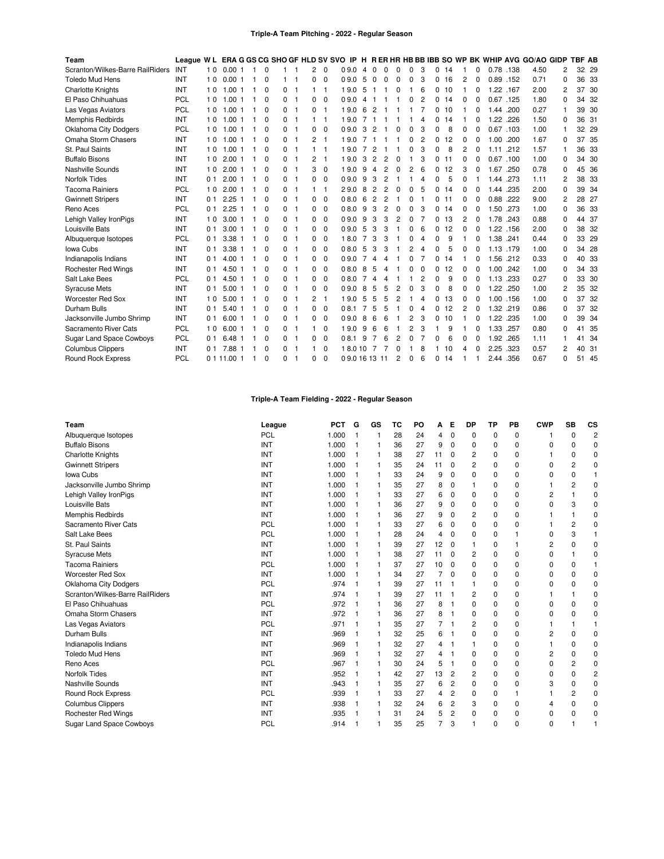#### **Triple-A Team Pitching - 2022 - Regular Season**

| Team                             | League WL  |                |             |          |   |    |          |              | <b>ERA G GS CG SHO GF HLD SV SVO IP</b> |                |              |                |                |                |   |   |    |          |          |           |      | H RERHR HB BB IBB SO WP BK WHIP AVG GO/AO GIDP |          | <b>TBF AB</b> |       |
|----------------------------------|------------|----------------|-------------|----------|---|----|----------|--------------|-----------------------------------------|----------------|--------------|----------------|----------------|----------------|---|---|----|----------|----------|-----------|------|------------------------------------------------|----------|---------------|-------|
| Scranton/Wilkes-Barre RailRiders | INT        | 10             | 0.001       | $\Omega$ |   |    | 2        | $\mathbf 0$  | 0.9.0                                   | -4             | 0            | 0              | 0              | 0              | 3 | 0 | 14 |          | 0        | 0.78 .138 |      | 4.50                                           | 2        |               | 32 29 |
| <b>Toledo Mud Hens</b>           | INT        | 10             | 0.001       | $\Omega$ |   |    | 0        | $\mathbf 0$  | 0.9.0                                   | 5              | <sup>0</sup> | $\Omega$       | $\Omega$       | 0              | 3 | 0 | 16 | 2        | 0        | 0.89      | .152 | 0.71                                           | 0        | 36            | - 33  |
| <b>Charlotte Knights</b>         | INT        | 10             | 1.001       | $\Omega$ | 0 | -1 |          | -1           | 19.0                                    | 5              |              |                | n              |                | 6 | 0 | 10 |          | O        | 1.22      | .167 | 2.00                                           | 2        |               | 37 30 |
| El Paso Chihuahuas               | PCL        | 10             | 1.001       | $\Omega$ | 0 | 1  | 0        | $\Omega$     | 0.9.0                                   | $\overline{4}$ |              |                |                | 0              | 2 | 0 | 14 | 0        |          | 0.67 .125 |      | 1.80                                           | $\Omega$ |               | 34 32 |
| Las Vegas Aviators               | <b>PCL</b> | 10             | 1.001       | 0        | 0 | 1  | 0        | 1            | 19.0                                    | 6              | 2            |                |                |                | 7 | 0 | 10 |          | 0        | 1.44      | .200 | 0.27                                           |          |               | 39 30 |
| <b>Memphis Redbirds</b>          | INT        | 10             | 1.001       | $\Omega$ | 0 | -1 |          |              | 19.0                                    |                |              |                |                |                | 4 | 0 | 14 |          | O        | 1.22 .226 |      | 1.50                                           | $\Omega$ |               | 36 31 |
| <b>Oklahoma City Dodgers</b>     | PCL        | 10             | 1.001       | $\Omega$ | 0 | -1 | $\Omega$ | $\mathbf 0$  | 0.9.0                                   | 3              | 2            |                | O              | ი              | 3 | 0 | 8  | 0        | O        | 0.67 .103 |      | 1.00                                           | 1        |               | 32 29 |
| Omaha Storm Chasers              | INT        | 10             | 1.001       | 0        | 0 |    | 2        | 1            | 19.0                                    |                |              |                |                | 0              | 2 | 0 | 12 | $\Omega$ | 0        | 1.00      | .200 | 1.67                                           | 0        |               | 37 35 |
| St. Paul Saints                  | INT        | 10             | 1.001       | $\Omega$ | 0 | -1 |          |              | 19.0                                    | 7              |              |                |                | n              | 3 | 0 | 8  | 2        | 0        | 1.11 .212 |      | 1.57                                           |          |               | 36 33 |
| <b>Buffalo Bisons</b>            | INT        | 10             | 2.001       | $\Omega$ | 0 | 1  | 2        | $\mathbf{1}$ | 19.0                                    | 3              | 2            | $\overline{2}$ | 0              |                | 3 | 0 | 11 | 0        | 0        | 0.67      | .100 | 1.00                                           | 0        |               | 34 30 |
| Nashville Sounds                 | INT        | 10             | 2.001       | $\Omega$ | 0 | 1  | 3        | $\Omega$     | 19.0                                    | 9              | 4            | 2              | 0              | 2              | 6 | 0 | 12 | 3        | 0        | 1.67      | .250 | 0.78                                           | $\Omega$ |               | 45 36 |
| <b>Norfolk Tides</b>             | INT        | 0 <sub>1</sub> | 2.001       | 0        | 0 | 1  | 0        | 0            | 0.9.0                                   | 9              | 3            | $\overline{c}$ |                |                | 4 | 0 | 5  | 0        |          | 1.44 .273 |      | 1.11                                           | 2        |               | 38 33 |
| <b>Tacoma Rainiers</b>           | <b>PCL</b> | 10             | 2.001       | 0        | 0 | 1  |          | 1            | 29.0                                    | 8              | 2            | $\overline{2}$ | $\Omega$       | 0              | 5 | 0 | 14 | 0        | 0        | 1.44      | .235 | 2.00                                           | 0        |               | 39 34 |
| <b>Gwinnett Stripers</b>         | INT        | 01             | 2.251       | $\Omega$ | 0 | -1 | 0        | $\Omega$     | 0.80                                    | 6              | 2            | $\overline{2}$ |                | O              |   | 0 | 11 | O        | $\Omega$ | 0.88      | .222 | 9.00                                           | 2        |               | 28 27 |
| Reno Aces                        | <b>PCL</b> | 0 <sub>1</sub> | 2.251       | $\Omega$ | 0 | 1  | 0        | $\Omega$     | 0.8.0                                   | 9              | 3            | 2              | 0              | 0              | 3 | 0 | 14 | 0        | 0        | 1.50      | .273 | 1.00                                           | 0        |               | 36 33 |
| Lehigh Valley IronPigs           | INT        | 10             | 3.001       | $\Omega$ | 0 | 1  | $\Omega$ | $\Omega$     | 0.9.0                                   | 9              | 3            | 3              | $\overline{2}$ | 0              |   | 0 | 13 | 2        | 0        | 1.78      | .243 | 0.88                                           | 0        |               | 44 37 |
| Louisville Bats                  | INT        | 0 <sub>1</sub> | 3.001       | $\Omega$ | 0 | J. | 0        | 0            | 0.9.0                                   | -5             | 3            | 3              |                | 0              | 6 | 0 | 12 | 0        |          | 1.22 .156 |      | 2.00                                           | 0        |               | 38 32 |
| Albuquerque Isotopes             | <b>PCL</b> | 0 <sub>1</sub> | 3.381       | $\Omega$ | 0 | -1 | 0        | $\Omega$     | 18.0                                    |                | 3            | 3              |                | 0              | 4 | 0 | 9  |          | 0        | 1.38      | .241 | 0.44                                           | 0        | 33            | 29    |
| Iowa Cubs                        | INT        | 0 <sub>1</sub> | 3.38 1      | $\Omega$ | 0 | -1 | O.       | $\Omega$     | 0.8.0                                   | 5              | 3            | 3              |                | $\overline{c}$ | 4 | 0 | 5  | O        | O        | 1.13 179  |      | 1.00                                           | 0        |               | 34 28 |
| Indianapolis Indians             | INT        | 0 <sub>1</sub> | 4.00 1      | $\Omega$ | 0 | 1  | 0        | $\mathbf 0$  | 0.9.0                                   | $\overline{7}$ | Δ            | 4              |                | 0              | 7 | 0 | 14 |          | 0        | 1.56      | .212 | 0.33                                           | 0        |               | 40 33 |
| <b>Rochester Red Wings</b>       | INT        | 0 <sub>1</sub> | 4.50 1      | 0        | 0 |    | 0        | $\mathbf 0$  | 0.8.0                                   | 8              | 5            | 4              |                | ი              | 0 | 0 | 12 | 0        | 0        | 1.00      | .242 | 1.00                                           | 0        |               | 34 33 |
| Salt Lake Bees                   | <b>PCL</b> | 0 <sub>1</sub> | 4.50 1      | 0        | 0 | -1 | 0        | $\mathbf 0$  | 0.8.0                                   | $\overline{7}$ | 4            | 4              |                |                | 2 | 0 | 9  | 0        | 0        | 1.13 .233 |      | 0.27                                           | 0        |               | 33 30 |
| <b>Syracuse Mets</b>             | INT        | 0 <sub>1</sub> | 5.001       | $\Omega$ | 0 | -1 | 0        | $\Omega$     | 0.9.0                                   | 8              | 5            | 5              | 2              | 0              | 3 | 0 | 8  | 0        | 0        | 1.22      | .250 | 1.00                                           | 2        | 35            | -32   |
| <b>Worcester Red Sox</b>         | INT        | 10             | 5.001       | $\Omega$ | 0 | -1 | 2        | $\mathbf{1}$ | 19.0                                    | 5              | 5            | 5              | 2              |                | 4 | 0 | 13 | $\Omega$ | O        | 1.00 156  |      | 1.00                                           | 0        |               | 37 32 |
| <b>Durham Bulls</b>              | INT        | 0 <sub>1</sub> | 5.40 1      | 0        | 0 | 1  | 0        | $\mathbf 0$  | 08.1                                    | $\overline{7}$ | 5            | 5              |                | 0              | 4 | 0 | 12 | 2        |          | 1.32 .219 |      | 0.86                                           | 0        |               | 37 32 |
| Jacksonville Jumbo Shrimp        | INT        | 0 <sub>1</sub> | 6.001       | 0        | 0 | 1  | 0        | $\mathbf 0$  | 0.9.0                                   | 8              | 6            | 6              |                | 2              | 3 | 0 | 10 |          | 0        | 1.22      | .235 | 1.00                                           | 0        |               | 39 34 |
| Sacramento River Cats            | <b>PCL</b> | 10             | 6.001       | 0        | 0 | -1 |          | $\mathbf 0$  | 19.0                                    | 9              | 6            | 6              |                | 2              | 3 |   | 9  |          | O        | 1.33 .257 |      | 0.80                                           | 0        |               | 41 35 |
| Sugar Land Space Cowboys         | PCL        | 0 <sub>1</sub> | 6.48 1      | $\Omega$ | 0 | -1 | $\Omega$ | $\mathbf 0$  | 08.1                                    | 9              |              | 6              | 2              | O              | 7 | 0 | 6  | 0        | 0        | 1.92      | .265 | 1.11                                           | 1        |               | 41 34 |
| <b>Columbus Clippers</b>         | INT        | 0 1            | 7.88        | 0        | 0 |    |          | $\Omega$     | 18.010                                  |                |              |                | O              |                | 8 |   | 10 | 4        | 0        | 2.25      | .323 | 0.57                                           | 2        |               | 40 31 |
| Round Rock Express               | <b>PCL</b> |                | 0 1 11.00 1 | $\Omega$ | 0 |    | 0        | $\Omega$     | 09.0161311                              |                |              |                | 2              | 0              | 6 | 0 | 14 |          |          | 2.44 .356 |      | 0.67                                           | 0        |               | 51 45 |

# **Triple-A Team Fielding - 2022 - Regular Season**

| Team                             | League     | <b>PCT</b> | G | GS | тс | PO | Α  | Е              | DP             | ΤP          | PВ          | <b>CWP</b> | <b>SB</b>      | CS             |
|----------------------------------|------------|------------|---|----|----|----|----|----------------|----------------|-------------|-------------|------------|----------------|----------------|
| Albuquerque Isotopes             | PCL        | 1.000      |   |    | 28 | 24 | 4  | $\mathbf 0$    | $\Omega$       | $\mathbf 0$ | $\Omega$    |            | $\Omega$       | $\overline{c}$ |
| <b>Buffalo Bisons</b>            | <b>INT</b> | 1.000      |   |    | 36 | 27 | 9  | 0              | 0              | $\mathbf 0$ | 0           | 0          | 0              | 0              |
| <b>Charlotte Knights</b>         | <b>INT</b> | 1.000      |   |    | 38 | 27 | 11 | $\Omega$       | 2              | $\Omega$    | $\Omega$    |            | 0              | $\Omega$       |
| <b>Gwinnett Stripers</b>         | <b>INT</b> | 1.000      |   |    | 35 | 24 | 11 | 0              | 2              | 0           | $\Omega$    | 0          | 2              | 0              |
| Iowa Cubs                        | <b>INT</b> | 1.000      |   |    | 33 | 24 | 9  | 0              | 0              | 0           | 0           | 0          | 0              |                |
| Jacksonville Jumbo Shrimp        | INT        | 1.000      |   |    | 35 | 27 | 8  | 0              |                | $\mathbf 0$ | $\Omega$    |            | 2              | $\Omega$       |
| Lehigh Valley IronPigs           | INT        | 1.000      |   |    | 33 | 27 | 6  | 0              | $\Omega$       | $\mathbf 0$ | $\mathbf 0$ | 2          |                | $\Omega$       |
| Louisville Bats                  | <b>INT</b> | 1.000      |   |    | 36 | 27 | 9  | 0              | 0              | 0           | 0           | 0          | 3              | 0              |
| Memphis Redbirds                 | <b>INT</b> | 1.000      |   |    | 36 | 27 | 9  | $\Omega$       | 2              | $\Omega$    | $\Omega$    |            |                | $\Omega$       |
| Sacramento River Cats            | PCL        | 1.000      |   |    | 33 | 27 | 6  | 0              | $\Omega$       | 0           | $\Omega$    |            | $\overline{2}$ | $\Omega$       |
| Salt Lake Bees                   | PCL        | 1.000      |   |    | 28 | 24 | 4  | 0              | $\Omega$       | $\mathbf 0$ |             | 0          | 3              |                |
| St. Paul Saints                  | <b>INT</b> | 1.000      |   |    | 39 | 27 | 12 | $\Omega$       |                | 0           | 1           | 2          | 0              | $\Omega$       |
| <b>Syracuse Mets</b>             | <b>INT</b> | 1.000      |   |    | 38 | 27 | 11 | $\Omega$       | 2              | 0           | $\Omega$    | 0          |                | $\Omega$       |
| <b>Tacoma Rainiers</b>           | <b>PCL</b> | 1.000      |   |    | 37 | 27 | 10 | 0              | $\Omega$       | 0           | 0           | 0          | 0              |                |
| Worcester Red Sox                | INT        | 1.000      |   |    | 34 | 27 | 7  | $\Omega$       | $\Omega$       | 0           | $\Omega$    | 0          | 0              | $\Omega$       |
| Oklahoma City Dodgers            | <b>PCL</b> | .974       |   |    | 39 | 27 | 11 | -1             |                | 0           | 0           | 0          | 0              | $\mathbf 0$    |
| Scranton/Wilkes-Barre RailRiders | INT        | .974       |   |    | 39 | 27 | 11 |                | 2              | $\Omega$    | $\Omega$    |            |                | $\Omega$       |
| El Paso Chihuahuas               | <b>PCL</b> | .972       |   |    | 36 | 27 | 8  |                | $\Omega$       | 0           | $\Omega$    | 0          | 0              | $\Omega$       |
| Omaha Storm Chasers              | <b>INT</b> | .972       |   |    | 36 | 27 | 8  | 1              | 0              | 0           | $\Omega$    | 0          | 0              | 0              |
| Las Vegas Aviators               | <b>PCL</b> | .971       |   |    | 35 | 27 | 7  | -1             | 2              | 0           | $\mathbf 0$ |            |                |                |
| Durham Bulls                     | INT        | .969       |   |    | 32 | 25 | 6  | 1              | $\Omega$       | $\mathbf 0$ | $\Omega$    | 2          | 0              | $\Omega$       |
| Indianapolis Indians             | <b>INT</b> | .969       |   |    | 32 | 27 | 4  | 1              |                | 0           | $\Omega$    |            | 0              | $\mathbf 0$    |
| <b>Toledo Mud Hens</b>           | <b>INT</b> | .969       |   |    | 32 | 27 | 4  |                | $\Omega$       | 0           | $\Omega$    | 2          | 0              | 0              |
| Reno Aces                        | <b>PCL</b> | .967       |   |    | 30 | 24 | 5  |                | $\Omega$       | $\Omega$    | $\Omega$    | 0          | 2              | $\mathbf 0$    |
| <b>Norfolk Tides</b>             | <b>INT</b> | .952       |   |    | 42 | 27 | 13 | 2              | $\overline{2}$ | 0           | $\mathbf 0$ | 0          | 0              | $\overline{2}$ |
| Nashville Sounds                 | <b>INT</b> | .943       |   |    | 35 | 27 | 6  | 2              | 0              | $\mathbf 0$ | $\mathbf 0$ | 3          | 0              | $\mathbf 0$    |
| Round Rock Express               | <b>PCL</b> | .939       |   |    | 33 | 27 | 4  | 2              | $\Omega$       | 0           | 1           |            | $\overline{2}$ | 0              |
| <b>Columbus Clippers</b>         | <b>INT</b> | .938       |   |    | 32 | 24 | 6  | 2              | 3              | 0           | 0           | 4          | 0              | 0              |
| <b>Rochester Red Wings</b>       | <b>INT</b> | .935       |   |    | 31 | 24 | 5  | $\overline{2}$ | $\Omega$       | $\Omega$    | $\Omega$    | 0          | 0              | $\Omega$       |
| <b>Sugar Land Space Cowboys</b>  | PCL        | .914       |   |    | 35 | 25 | 7  | 3              |                | 0           | $\Omega$    | 0          |                |                |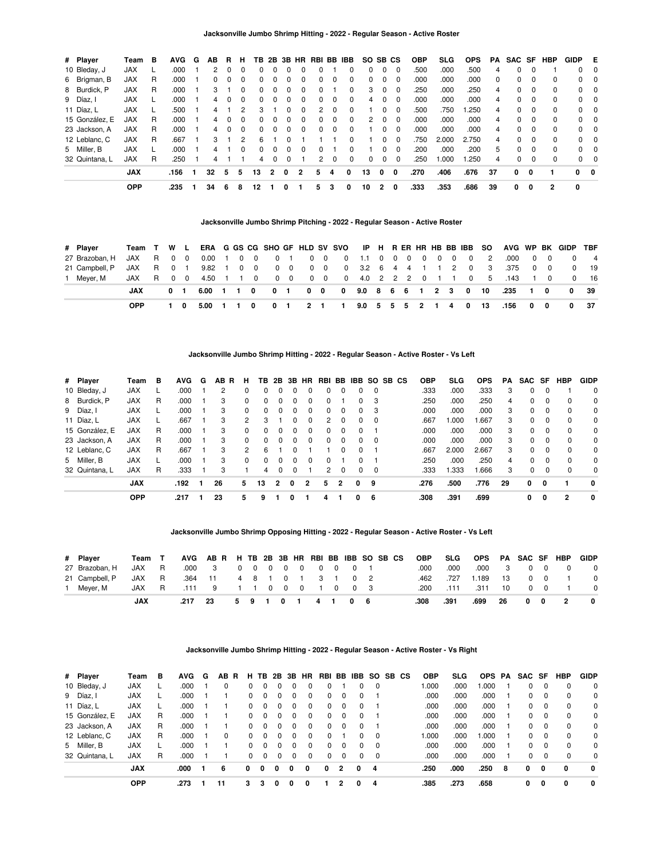| # Player       | Team       | в | <b>AVG</b> | G | ΑВ | R.           | н        | TB.          | 2B           | 3B | <b>HR</b> |    |          | RBI BB IBB | SO SB CS |          |          | <b>OBP</b> | <b>SLG</b> | <b>OPS</b> | PA       | SAC SF |          | HBP          | <b>GIDP</b>    | Е              |
|----------------|------------|---|------------|---|----|--------------|----------|--------------|--------------|----|-----------|----|----------|------------|----------|----------|----------|------------|------------|------------|----------|--------|----------|--------------|----------------|----------------|
| 10 Bleday, J   | <b>JAX</b> |   | .000       |   | 2  | 0            | $\Omega$ | 0            |              |    |           |    |          | 0          |          | $\Omega$ | $\Omega$ | .500       | .000       | .500       | 4        | 0      | 0        |              | $^{\circ}$     | - 0            |
| 6 Brigman, B   | <b>JAX</b> | R | .000       |   | 0  | <sup>0</sup> | 0        | <sup>0</sup> |              |    |           | O. | $^{(1)}$ | 0          |          | $\Omega$ | $\Omega$ | .000       | .000       | .000       | $\Omega$ | 0      | 0        | $\Omega$     | $\Omega$       | - 0            |
| 8 Burdick, P   | <b>JAX</b> | R | .000       |   | 3  |              | 0        | 0            |              |    |           | 0  |          | $\Omega$   | 3        | $\Omega$ | 0        | .250       | .000       | .250       | 4        | 0      | $\Omega$ | 0            | $^{\circ}$     | $\Omega$       |
| 9 Díaz. I      | <b>JAX</b> |   | .000       |   | 4  | 0            | $\Omega$ | 0            | $\Omega$     | 0  | 0         | 0  | $\Omega$ | $\Omega$   | 4        | $\Omega$ | - 0      | .000       | .000       | .000       | 4        | 0      | $\Omega$ | $\Omega$     | $\Omega$       | - 0            |
| 11 Díaz, L     | <b>JAX</b> |   | .500       |   | 4  |              | 2        | 3            |              | n  | 0         | 2  | $\Omega$ | $\Omega$   |          | $\Omega$ | $\Omega$ | .500       | .750       | .250       | 4        | 0      | $\Omega$ | $\Omega$     |                | $0\quad 0$     |
| 15 González, E | <b>JAX</b> | R | .000       |   | 4  | 0            | 0        | <sup>0</sup> |              |    |           | O. | 0        | $\Omega$   | 2        | 0        | 0        | .000       | .000       | .000       | 4        | 0      | $\Omega$ | 0            |                | $0\quad 0$     |
| 23 Jackson, A  | <b>JAX</b> | R | .000       |   | 4  | <sup>0</sup> | $\Omega$ | 0            | <sup>0</sup> |    | U         | O. | $\Omega$ | 0          |          | 0        | $\Omega$ | .000       | .000       | .000       | 4        | 0      | $\Omega$ | $\Omega$     | $\Omega$       | $\Omega$       |
| 12 Leblanc, C  | <b>JAX</b> | R | .667       |   | 3  |              | 2        | 6            |              |    |           |    |          | 0          |          | 0        | $\Omega$ | .750       | 2.000      | 2.750      | 4        | 0      | $\Omega$ | 0            |                | $0\quad 0$     |
| 5 Miller, B    | <b>JAX</b> |   | .000       |   | 4  |              | 0        | 0            |              |    |           | O. |          | 0          |          | 0        | $\Omega$ | .200       | .000       | .200       | 5        | 0      | $\Omega$ | $\Omega$     | $\overline{0}$ | $\overline{0}$ |
| 32 Quintana, L | <b>JAX</b> | R | .250       |   |    |              |          | 4            |              |    |           |    |          | 0          |          | 0        | 0        | .250       | .000       | .250       | 4        | 0      | $\Omega$ | $\Omega$     | $\Omega$       | $\Omega$       |
|                | <b>JAX</b> |   | .156       |   | 32 | 5            | 5        | 13           | 2            | 0  | 2         | 5  | 4        | 0          | 13       | 0        | 0        | .270       | .406       | .676       | 37       | 0      | 0        |              | $0\quad 0$     |                |
|                | OPP        |   | .235       |   | 34 | -6           | 8        | 12           |              | 0  |           | 5  | з        | 0          | 10       | 2        | 0        | .333       | .353       | .686       | 39       | 0      | 0        | $\mathbf{2}$ | 0              |                |

# **Jacksonville Jumbo Shrimp Pitching - 2022 - Regular Season - Active Roster**

| # Plaver       | Team T W L |             |            |  |  |  |                                      |  |  |  |                |             | ERA G GS CG SHO GF HLD SV SVO IP H R ER HR HB BB IBB SO AVG WP BK GIDP TBF |            |          |                |
|----------------|------------|-------------|------------|--|--|--|--------------------------------------|--|--|--|----------------|-------------|----------------------------------------------------------------------------|------------|----------|----------------|
| 27 Brazoban, H | JAX R 00   |             |            |  |  |  |                                      |  |  |  |                |             | .000                                                                       | $0\quad 0$ | $\Omega$ | $\overline{4}$ |
| 21 Campbell, P | JAXR 01    |             |            |  |  |  | 9.82 1 0 0 0 0 0 0 0 0 3.2 6 4 4 1 1 |  |  |  | $\overline{2}$ | $0 \quad 3$ | .375                                                                       | $0\quad 0$ | $\Omega$ | 19             |
| 1 Mever, M     | JAX R 0 0  |             |            |  |  |  |                                      |  |  |  |                |             | 4.50 1 1 0 0 0 0 0 0 4.0 2 2 2 0 1 1 0 5 .143 1 0                          |            |          | $0 \qquad 16$  |
|                | JAX        | $0 \quad 1$ |            |  |  |  |                                      |  |  |  |                |             | 6.00 1 1 0 0 1 0 0 0 9.0 8 6 6 1 2 3 0 10 .235 1 0 0 39                    |            |          |                |
|                | <b>OPP</b> | 10          | 5.00 1 1 0 |  |  |  |                                      |  |  |  |                |             | 0 1 2 1 1 9.0 5 5 5 2 1 4 0 13 .156 0 0                                    |            |          | 0 37           |

#### **Jacksonville Jumbo Shrimp Hitting - 2022 - Regular Season - Active Roster - Vs Left**

| # Player       | Team       | в | <b>AVG</b> | G | ΑВ<br><b>R</b> | н             | TB.      | 2B             | 3B       | <b>HR</b>    | RBI |              |          |          | BB IBB SO SB CS | <b>OBP</b> | SLG   | <b>OPS</b> | PA | SAC          | SF       | <b>HBP</b>     | <b>GIDP</b> |
|----------------|------------|---|------------|---|----------------|---------------|----------|----------------|----------|--------------|-----|--------------|----------|----------|-----------------|------------|-------|------------|----|--------------|----------|----------------|-------------|
| 10 Bleday, J   | <b>JAX</b> |   | .000       |   | 2              | 0             | 0        |                |          |              | 0   |              |          | $\Omega$ |                 | .333       | .000  | .333       | 3  | <sup>0</sup> | 0        |                | 0           |
| 8 Burdick, P   | <b>JAX</b> | R | .000       |   | 3              | $\Omega$      | 0        | 0              | $\Omega$ |              | O.  |              | U        | 3        |                 | .250       | .000  | .250       | 4  | 0            | $\Omega$ | 0              | 0           |
| 9 Díaz, I      | <b>JAX</b> |   | .000       |   | 3              | $\Omega$      | 0        | $\Omega$       | $\Omega$ | $\Omega$     | 0   | $\Omega$     | $\Omega$ | 3        |                 | .000       | .000  | .000       | 3  | $\Omega$     | $\Omega$ | 0              | 0           |
| 11 Díaz, L     | <b>JAX</b> |   | .667       |   | 3              | 2             | 3        |                | $\Omega$ | $\Omega$     | 2   | $\Omega$     | $\Omega$ | $\Omega$ |                 | .667       | 1.000 | .667       | 3  | $\Omega$     | $\Omega$ | $\mathbf 0$    | 0           |
| 15 González, E | <b>JAX</b> | R | .000       |   | 3              | $\Omega$      | 0        | $\Omega$       | $\Omega$ | <sup>n</sup> | O.  | <sup>0</sup> | $\Omega$ |          |                 | .000       | .000  | .000       | 3  | $\Omega$     | $\Omega$ | $\mathbf 0$    | 0           |
| 23 Jackson, A  | JAX        | R | .000       |   | 3              | $\Omega$      | 0        | 0              | $\Omega$ | $\Omega$     | 0   | 0            | $\Omega$ | $\Omega$ |                 | .000       | .000  | .000       | 3  | $\Omega$     | $\Omega$ | $\mathbf 0$    | 0           |
| 12 Leblanc, C  | <b>JAX</b> | R | .667       |   | 3              | $\mathcal{P}$ | 6        |                | $\Omega$ |              |     | <sup>0</sup> | $\Omega$ |          |                 | .667       | 2.000 | 2.667      | 3  | $\Omega$     | $\Omega$ | $\Omega$       | 0           |
| 5 Miller, B    | <b>JAX</b> |   | .000       |   | 3              | $\Omega$      | $\Omega$ | $\Omega$       | $\Omega$ | <sup>n</sup> | 0   |              | 0        |          |                 | .250       | .000  | .250       | 4  | $\Omega$     | $\Omega$ | $\Omega$       | $\Omega$    |
| 32 Quintana, L | <b>JAX</b> | R | .333       |   | 3              |               | 4        | $\Omega$       | 0        |              | 2   | $\Omega$     | 0        | 0        |                 | .333       | .333  | .666       | 3  | $\Omega$     | 0        | 0              | 0           |
|                | <b>JAX</b> |   | .192       |   | 26             | 5             | 13       | $\overline{2}$ | 0        | 2            | 5   | 2            | 0        | 9        |                 | .276       | .500  | .776       | 29 | 0            | 0        |                | 0           |
|                | <b>OPP</b> |   | .217       |   | 23             | 5             | 9        |                | 0        |              | 4   |              | 0        | 6        |                 | .308       | .391  | .699       |    | 0            | 0        | $\overline{2}$ | 0           |

**Jacksonville Jumbo Shrimp Opposing Hitting - 2022 - Regular Season - Active Roster - Vs Left**

| # Player       | Team T |          |      | AVG AB R H TB 2B 3B HR RBI BB IBB SO SB CS |  |  |       |               |                                          |  | OBP  | <b>SLG</b> | OPS PA SAC SF HBP |                         |            |            |                          | GIDP         |
|----------------|--------|----------|------|--------------------------------------------|--|--|-------|---------------|------------------------------------------|--|------|------------|-------------------|-------------------------|------------|------------|--------------------------|--------------|
| 27 Brazoban, H | JAX    | <b>R</b> | .000 | 3 0 0 0 0 0 0 0 0 1                        |  |  |       |               |                                          |  | .000 | .000       | .000              | $\overline{\mathbf{3}}$ |            | $0\quad 0$ |                          | $\Omega$     |
| 21 Campbell, P | JAX R  |          | .364 | . 11                                       |  |  |       | 4 8 1 0 1 3 1 |                                          |  | .462 | .727       | 1.189             | 13                      |            | $0\quad 0$ |                          | $\Omega$     |
| 1 Mever, M     | JAX    |          |      | R .111 9 1 1 0 0 0                         |  |  |       | $1 \quad 0$   | $\begin{array}{ccc} & 0 & 3 \end{array}$ |  | .200 | .111       | .311              | - 10                    |            | $0\quad 0$ |                          |              |
|                | JAX    |          | .217 | - 23                                       |  |  | 59101 |               | 4106                                     |  | .308 | .391       | .699              | -26                     | $0\quad 0$ |            | $\overline{\phantom{a}}$ | $\mathbf{0}$ |

### **Jacksonville Jumbo Shrimp Hitting - 2022 - Regular Season - Active Roster - Vs Right**

| # Player       | Team       | в | AVG  | G | AB R | н.           | TB. |          | 2B 3B    | <b>HR</b> |              |              | RBI BB IBB SO SB CS |           |  | <b>OBP</b> | SLG. | OPS PA |    | SAC SF |              | <b>HBP</b> | <b>GIDP</b> |
|----------------|------------|---|------|---|------|--------------|-----|----------|----------|-----------|--------------|--------------|---------------------|-----------|--|------------|------|--------|----|--------|--------------|------------|-------------|
| 10 Bleday, J   | <b>JAX</b> |   | .000 |   | 0    |              |     |          | 0        |           |              |              | 0                   | - 0       |  | 000.1      | .000 | .000   |    | 0      | $\Omega$     | 0          | $\Omega$    |
| 9 Díaz, I      | <b>JAX</b> |   | .000 |   |      |              |     | $\Omega$ | 0        | 0         |              |              | $\Omega$            |           |  | .000       | .000 | .000   |    | 0      | $\Omega$     | 0          | $\Omega$    |
| 11 Díaz, L     | <b>JAX</b> |   | .000 |   |      | <sup>o</sup> |     | 0        | 0        | 0         | 0            |              | $\Omega$            |           |  | .000       | .000 | .000   |    | 0      | $\Omega$     | 0          | 0           |
| 15 González, E | <b>JAX</b> | R | .000 |   |      | 0            |     | $\Omega$ | 0        | 0         | 0            |              | 0                   |           |  | .000       | .000 | .000   |    | 0      | $\Omega$     | $\Omega$   | $\Omega$    |
| 23 Jackson, A  | <b>JAX</b> | R | .000 |   |      | 0            |     | $\Omega$ | $\Omega$ | $\Omega$  | 0            | $\Omega$     | $\Omega$            |           |  | .000       | .000 | .000   |    | 0      | $\Omega$     | $\Omega$   | $\Omega$    |
| 12 Leblanc, C  | JAX        | R | .000 |   | 0    | 0            |     | 0        | $\Omega$ | 0         | <sup>0</sup> |              | <sup>0</sup>        | $\Omega$  |  | 000.1      | .000 | 1.000  |    | 0      | $\Omega$     | $\Omega$   | $\Omega$    |
| 5 Miller, B    | JAX        |   | .000 |   |      | <sup>o</sup> |     | 0        | $\Omega$ | 0         | 0            | <sup>0</sup> | 0                   | <u>ິດ</u> |  | .000       | .000 | .000   |    | 0      | $\Omega$     | 0          | $\Omega$    |
| 32 Quintana, L | <b>JAX</b> | R | .000 |   |      |              |     |          | 0        | 0         | 0            |              | 0                   | $\Omega$  |  | .000       | .000 | .000   |    | 0      | $\Omega$     | 0          | $\Omega$    |
|                | <b>JAX</b> |   | .000 |   | 6    | 0            | 0   | 0        | 0        | 0         | 0            | 2            | 0                   | 4         |  | .250       | .000 | .250   | -8 | 0      | $\mathbf{0}$ | 0          | 0           |
|                | <b>OPP</b> |   | .273 |   | 11   | 3            | 3   | 0        | 0        | 0         |              | 2            | 0                   | 4         |  | .385       | .273 | .658   |    | 0      | 0            | 0          | $\mathbf 0$ |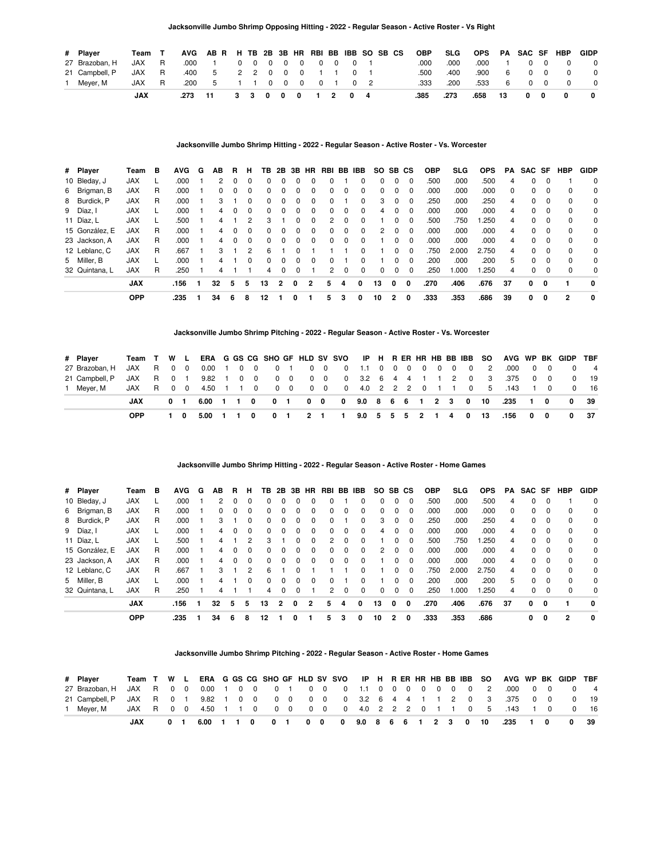| # Player       | Team T |          |             | AVG AB R H TB 2B 3B HR RBI BB IBB SO SB CS |  |  |                   |  |            |  | OBP  | SLG  | OPS PA SAC SF HBP |      |            |            |              | GIDP         |
|----------------|--------|----------|-------------|--------------------------------------------|--|--|-------------------|--|------------|--|------|------|-------------------|------|------------|------------|--------------|--------------|
| 27 Brazoban, H | JAX R  |          | .000        | $\blacksquare$                             |  |  | 0 0 0 0 0 0 0 1   |  |            |  | .000 | .000 | .000              |      |            | $0\quad 0$ |              |              |
| 21 Campbell, P | JAX    | R        | .400        | 5                                          |  |  | 2 2 0 0 0 1 1 0 1 |  |            |  | .500 | .400 | .900              | 6    | $\Omega$   | $\Omega$   |              |              |
| 1 Mever, M     | JAX    | <b>R</b> | .200        | 5                                          |  |  | 1 1 0 0 0 0 1     |  | $0\quad 2$ |  | .333 | .200 | .533              | 6    |            | $0\quad 0$ |              |              |
|                | JAX    |          | $.273 - 11$ |                                            |  |  | 3 3 0 0 0 1 2 0 4 |  |            |  | .385 | .273 | .658              | - 13 | $0\quad 0$ |            | $\mathbf{0}$ | $\mathbf{0}$ |

### **Jacksonville Jumbo Shrimp Hitting - 2022 - Regular Season - Active Roster - Vs. Worcester**

| # Player       | Team       | в  | <b>AVG</b> | G | AВ | в.       | н        | TB.          | 2B       |          |          | 3B HR RBI | BB IBB       |              | SO.      |              | SB CS    | <b>OBP</b> | SLG   | <b>OPS</b> | PA       | SAC SF   |          | HBP            | GIDP        |
|----------------|------------|----|------------|---|----|----------|----------|--------------|----------|----------|----------|-----------|--------------|--------------|----------|--------------|----------|------------|-------|------------|----------|----------|----------|----------------|-------------|
| 10 Bleday, J   | <b>JAX</b> |    | .000       |   | 2  | 0        | 0        | $\Omega$     | $\Omega$ | 0        |          |           |              | $\Omega$     | 0        | 0            | $\Omega$ | .500       | .000  | .500       | 4        | 0        | $\Omega$ |                | 0           |
| 6 Brigman, B   | <b>JAX</b> | R  | .000       |   | O. |          | 0        | $\Omega$     | $\Omega$ | 0        |          | 0         | 0            | $\Omega$     | $\Omega$ | 0            | $\Omega$ | .000       | .000  | .000       | $\Omega$ | 0        | $\Omega$ | $\Omega$       | 0           |
| 8 Burdick, P   | <b>JAX</b> | R  | .000       |   |    |          | 0        | 0            |          |          |          |           |              | 0            | 3        |              | 0        | .250       | .000  | .250       | 4        | 0        | $\Omega$ | 0              | 0           |
| 9 Díaz, l      | <b>JAX</b> |    | .000       |   | 4  | 0        | $\Omega$ | <sup>0</sup> | $\Omega$ | $\Omega$ | $\Omega$ | 0         | 0            | $\Omega$     | 4        | 0            | $\Omega$ | .000       | .000  | .000       | 4        | 0        | $\Omega$ | $\Omega$       | 0           |
| 11 Díaz, L     | <b>JAX</b> |    | .500       |   | 4  |          | 2        | 3            |          |          |          | 2         | 0            | $\Omega$     |          | 0            | $\Omega$ | .500       | .750  | .250       | 4        | 0        | $\Omega$ | $\Omega$       | 0           |
| 15 González, E | <b>JAX</b> | R. | .000       |   | 4  |          | 0        | <sup>0</sup> |          | 0        |          | 0         | 0            | 0            | 2        | 0            | $\Omega$ | .000       | .000  | .000       | 4        | 0        | $\Omega$ | $\Omega$       | 0           |
| 23 Jackson, A  | <b>JAX</b> | R  | .000       |   | 4  | $\Omega$ | $\Omega$ | <sup>0</sup> | $\Omega$ | $\Omega$ | $\Omega$ | 0         | <sup>0</sup> | $\Omega$     |          | <sup>0</sup> | $\Omega$ | .000       | .000  | .000       | 4        | 0        | $\Omega$ | $\Omega$       | 0           |
| 12 Leblanc, C  | <b>JAX</b> | R  | .667       |   | 3  |          | 2        | 6            |          |          |          |           |              | <sup>0</sup> |          | 0            | $\Omega$ | .750       | 2.000 | 2.750      | 4        | $\Omega$ | $\Omega$ | $\Omega$       | 0           |
| 5 Miller, B    | <b>JAX</b> |    | .000       |   |    |          | 0        | <sup>0</sup> | $\Omega$ | 0        |          | 0         |              | <sup>0</sup> |          | 0            | $\Omega$ | .200       | .000  | .200       | 5        | 0        | $\Omega$ | $\Omega$       | $\mathbf 0$ |
| 32 Quintana, L | <b>JAX</b> | R  | .250       |   |    |          |          | 4            | 0        | $\Omega$ |          | 2         | 0            | $\Omega$     | 0        | 0            | 0        | .250       | 1.000 | .250       | 4        | 0        | $\Omega$ | $\Omega$       | $\Omega$    |
|                | <b>JAX</b> |    | .156       |   | 32 | 5        | 5        | 13           | 2        | 0        | 2        | 5         | 4            | <sup>0</sup> | 13       | 0            | O        | .270       | .406  | .676       | 37       | 0        | 0        |                | 0           |
|                | <b>OPP</b> |    | .235       |   | 34 | 6        | 8        | 12           |          |          |          | 5         | з            | 0            | 10       | 2            | 0        | .333       | .353  | .686       | 39       | 0        | 0        | $\overline{2}$ | 0           |

#### **Jacksonville Jumbo Shrimp Pitching - 2022 - Regular Season - Active Roster - Vs. Worcester**

| # Plaver       | Team T W L |                |                      |  |   |              |  |                              |                   |  |  |  |                         |                                                    | ERA G GS CG SHO GF HLD SV SVO IP H R ER HR HB BB IBB SO AVG WP BK GIDP TBF |            |          |                |
|----------------|------------|----------------|----------------------|--|---|--------------|--|------------------------------|-------------------|--|--|--|-------------------------|----------------------------------------------------|----------------------------------------------------------------------------|------------|----------|----------------|
| 27 Brazoban. H | JAX R 0 0  |                | 0.00 1 0 0 0 1 0 0   |  |   |              |  |                              | 0 1.1 0 0 0 0 0 0 |  |  |  | $\overline{\mathbf{0}}$ | $\overline{2}$                                     | .000                                                                       | $0\quad 0$ | $\Omega$ | $\overline{4}$ |
| 21 Campbell, P | JAXR 01    |                | 9.82 1 0 0 0 0 0 0 0 |  |   |              |  | 0 3.2 6 4 4 1 1              |                   |  |  |  |                         | $\begin{array}{cccc} \mid & 2 & 0 & 3 \end{array}$ | .375                                                                       | $0\quad 0$ | $\Omega$ | 19             |
| 1 Mever, M     | JAX R 0 0  |                |                      |  |   |              |  |                              |                   |  |  |  |                         |                                                    | 4.50 1 1 0 0 0 0 0 0 4.0 2 2 2 0 1 1 0 5 .143 1 0                          |            |          | $0 \qquad 16$  |
|                | JAX        | 0 <sub>1</sub> | 6.00 1 1 0           |  |   |              |  |                              |                   |  |  |  |                         |                                                    | 0 1 0 0 0 9.0 8 6 6 1 2 3 0 10 .235 1 0                                    |            | $0 \t39$ |                |
|                | <b>OPP</b> | 10             | 5.00 1               |  | 0 | $\mathbf{o}$ |  | 1 2 1 1 9.0 5 5 5 2 1 4 0 13 |                   |  |  |  |                         |                                                    | .156 0 0                                                                   |            |          | 0 37           |

# **Jacksonville Jumbo Shrimp Hitting - 2022 - Regular Season - Active Roster - Home Games**

| # Player       | Team       | в | <b>AVG</b> | G | AВ | R | н        | TB.          |          |          |          | 2B 3B HR RBI BB IBB |   |              | SO. |          | SB CS    | <b>OBP</b> | SLG   | <b>OPS</b> | PA       | SAC SF       |          | HBP            | <b>GIDP</b> |
|----------------|------------|---|------------|---|----|---|----------|--------------|----------|----------|----------|---------------------|---|--------------|-----|----------|----------|------------|-------|------------|----------|--------------|----------|----------------|-------------|
| 10 Bleday, J   | <b>JAX</b> |   | .000       |   | 2  | 0 | 0        | $\Omega$     | $\Omega$ | 0        |          |                     |   | $\Omega$     | 0   | 0        | $\Omega$ | .500       | .000  | .500       | 4        | 0            | $\Omega$ |                | 0           |
| 6 Brigman, B   | <b>JAX</b> | R | .000       |   | 0  |   | 0        | $\Omega$     | $\Omega$ | $\Omega$ |          | 0                   | n | $\Omega$     | 0   | 0        | $\Omega$ | .000       | .000  | .000       | $\Omega$ | 0            | $\Omega$ | $\Omega$       | 0           |
| 8 Burdick, P   | <b>JAX</b> | R | .000       |   |    |   | 0        | <sup>0</sup> | 0        | 0        |          | 0                   |   | 0            | 3   | 0        | 0        | .250       | .000  | .250       | 4        | 0            | $\Omega$ | $\Omega$       | 0           |
| 9 Díaz.        | <b>JAX</b> |   | .000       |   | 4  | 0 | $\Omega$ | $\Omega$     | $\Omega$ | $\Omega$ | $\Omega$ | 0                   | 0 | $\Omega$     | 4   | 0        | $\Omega$ | .000       | .000  | .000       | 4        | 0            | $\Omega$ | $\Omega$       | 0           |
| 11 Díaz, L     | <b>JAX</b> |   | .500       |   |    |   | 2        | 3            |          |          |          | 2                   | 0 | $\Omega$     |     | 0        | $\Omega$ | .500       | .750  | .250       | 4        | 0            | $\Omega$ | $\Omega$       | 0           |
| 15 González, E | <b>JAX</b> | R | .000       |   | 4  |   | 0        | <sup>0</sup> | $\Omega$ | 0        |          | 0                   | 0 | $\Omega$     | 2   | $\Omega$ | $\Omega$ | .000       | .000  | .000       | 4        | 0            | $\Omega$ | $\Omega$       | 0           |
| 23 Jackson, A  | <b>JAX</b> | R | .000       |   | 4  |   | 0        | $\Omega$     |          |          |          | 0                   | 0 | 0            |     | 0        | $\Omega$ | .000       | .000  | .000       | 4        | <sup>0</sup> |          | $\Omega$       | 0           |
| 12 Leblanc, C  | <b>JAX</b> | R | .667       |   | 3  |   | 2        | 6            |          |          |          |                     |   | $\Omega$     |     | 0        | $\Omega$ | .750       | 2.000 | 2.750      | 4        | 0            | $\Omega$ | $\Omega$       | 0           |
| 5 Miller, B    | <b>JAX</b> |   | .000       |   | 4  |   | 0        | $\Omega$     | $\Omega$ | $\Omega$ |          | 0                   |   | <sup>0</sup> |     | 0        | $\Omega$ | .200       | .000  | .200       | 5        | $\Omega$     | $\Omega$ | $\Omega$       | $\Omega$    |
| 32 Quintana, L | <b>JAX</b> | R | .250       |   |    |   |          | 4            | $\Omega$ | 0        |          | 2                   | 0 | $\Omega$     | 0   | 0        | $\Omega$ | .250       | 1.000 | .250       | 4        | 0            | $\Omega$ | $\Omega$       | $\mathbf 0$ |
|                | <b>JAX</b> |   | .156       |   | 32 | 5 | 5        | 13           | 2        | $\Omega$ | 2        | 5                   | 4 | 0            | 13  | O        | 0        | .270       | .406  | .676       | 37       | 0            | 0        |                | 0           |
|                | <b>OPP</b> |   | .235       |   | 34 | 6 | 8        | 12           |          |          |          | 5                   | з | 0            | 10  | 2        | 0        | .333       | .353  | .686       |          | 0            | 0        | $\overline{2}$ | 0           |

#### **Jacksonville Jumbo Shrimp Pitching - 2022 - Regular Season - Active Roster - Home Games**

| # Plaver                                                                    |                                                               |  |             |  |  |  |  |  |  |  |  |  | Team T W L ERA G GS CG SHO GF HLD SV SVO IP H R ER HR HB BB IBB SO AVG WP BK GIDP TBF |  |               |
|-----------------------------------------------------------------------------|---------------------------------------------------------------|--|-------------|--|--|--|--|--|--|--|--|--|---------------------------------------------------------------------------------------|--|---------------|
|                                                                             |                                                               |  |             |  |  |  |  |  |  |  |  |  |                                                                                       |  |               |
| 21 Campbell P JAX R 0 1 9.82 1 0 0 0 0 0 0 0 0 3.2 6 4 4 1 1 2 0 3 .375 0 0 |                                                               |  |             |  |  |  |  |  |  |  |  |  |                                                                                       |  | $0$ 19        |
| 1 Mever. M                                                                  | JAX R 0 0 4.50 1 1 0 0 0 0 0 0 0 4.0 2 2 2 0 1 1 0 5 .143 1 0 |  |             |  |  |  |  |  |  |  |  |  |                                                                                       |  | $0 \qquad 16$ |
|                                                                             |                                                               |  | $0 \quad 1$ |  |  |  |  |  |  |  |  |  | 6.00 1 1 0 0 1 0 0 0 9.0 8 6 6 1 2 3 0 10 .235 1 0 0                                  |  | 39            |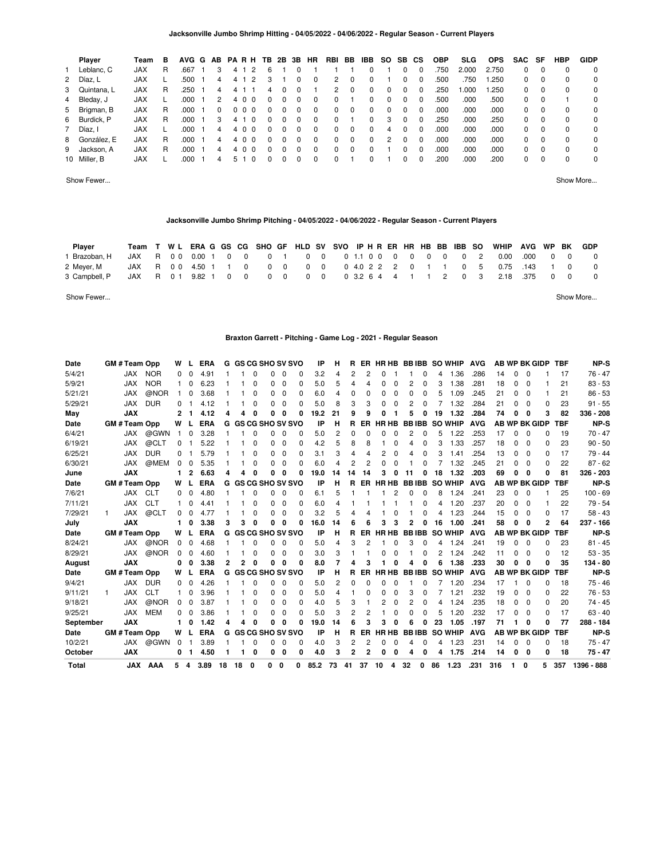| Player        | Team       | в |      |                | AVG G AB PARH TB 2B 3B HR |          |          |          |          |          | RBI BB |          | IBB SO SB |   |          | СS       | <b>OBP</b> | SLG.  | <b>OPS</b> | SAC SF   |          | HBP         | <b>GIDP</b> |
|---------------|------------|---|------|----------------|---------------------------|----------|----------|----------|----------|----------|--------|----------|-----------|---|----------|----------|------------|-------|------------|----------|----------|-------------|-------------|
| Leblanc, C    | <b>JAX</b> | R | .667 | 3              | 4                         | 2        | 6        |          |          |          |        |          |           |   | 0        | 0        | .750       | 2.000 | 2.750      | 0        | - 0      | $\mathbf 0$ | 0           |
| 2 Díaz, L     | <b>JAX</b> |   | .500 | 4              | 4 1                       | 2        | 3        |          | $\Omega$ | 0        | 2      | $\Omega$ | $\Omega$  |   | $\Omega$ | $\Omega$ | .500       | .750  | 1.250      | 0        | $\Omega$ | 0           | 0           |
| 3 Quintana, L | <b>JAX</b> | R | .250 | 4              | 4                         |          | 4        | $\Omega$ | $\Omega$ |          | 2      | $\Omega$ | $\Omega$  | 0 | $\Omega$ | $\Omega$ | .250       | 1.000 | 1.250      | 0        | $\Omega$ | 0           | 0           |
| 4 Bleday, J   | <b>JAX</b> |   | .000 | $\overline{2}$ | 4 0 0                     |          | $\Omega$ | 0        | $\Omega$ | $\Omega$ | 0      |          | 0         | 0 | $\Omega$ | $\Omega$ | .500       | .000  | .500       | 0        | $\Omega$ |             | 0           |
| 5 Brigman, B  | <b>JAX</b> | R | .000 | 0              | $0\quad0\quad0$           |          | 0        | 0        | 0        | $\Omega$ | 0      | 0        | $\Omega$  | 0 | $\Omega$ | $\Omega$ | .000       | .000  | .000       | 0        | $\Omega$ | 0           | 0           |
| 6 Burdick, P  | <b>JAX</b> | R | .000 | 3              | 4                         | $\Omega$ | $\Omega$ | 0        | 0        | 0        | 0      |          | 0         | 3 | $\Omega$ | $\Omega$ | .250       | .000  | .250       | 0        | - 0      | 0           | 0           |
| 7 Díaz, I     | <b>JAX</b> |   | .000 | 4              | 4 0 0                     |          | $\Omega$ | $\Omega$ | 0        | $\Omega$ | 0      | $\Omega$ | $\Omega$  | 4 | $\Omega$ | $\Omega$ | .000       | .000  | .000       | 0        | - 0      | $\Omega$    | 0           |
| 8 González, E | <b>JAX</b> | R | .000 | 4              | 4 0 0                     |          | $\Omega$ | $\Omega$ | $\Omega$ | $\Omega$ | 0      | $\Omega$ | $\Omega$  | 2 | $\Omega$ | $\Omega$ | .000       | .000  | .000       | $\Omega$ | - 0      | $\Omega$    | $\Omega$    |
| 9 Jackson, A  | <b>JAX</b> | R | .000 | 4              | 4 0 0                     |          | $\Omega$ | $\Omega$ | $\Omega$ | 0        | 0      | $\Omega$ | 0         |   | $\Omega$ |          | .000       | .000  | .000       | 0        | $\Omega$ | 0           | 0           |
| 10 Miller, B  | <b>JAX</b> |   | .000 | 4              | 51                        | $\Omega$ | $\Omega$ | 0        | $\Omega$ | $\Omega$ | 0      |          | 0         |   | 0        |          | .200       | .000  | .200       | 0        | $\Omega$ | 0           | 0           |

Show Fewer... Show More...

### **Jacksonville Jumbo Shrimp Pitching - 04/05/2022 - 04/06/2022 - Regular Season - Current Players**

| <b>Plaver</b> | Team T WL ERA G GS CG SHO GF HLD SV SVO IP H R ER HR HB BB IBB SO |      |        |          |            |             |                                                 |            |  |  |                   |             |            |                                   | WHIP | AVG       | WP BK |            | GDP       |
|---------------|-------------------------------------------------------------------|------|--------|----------|------------|-------------|-------------------------------------------------|------------|--|--|-------------------|-------------|------------|-----------------------------------|------|-----------|-------|------------|-----------|
| 1 Brazoban, H | JAX                                                               | R 00 |        |          | 0.00 1 0 0 | $0 \quad 1$ |                                                 | $0\quad 0$ |  |  | 01.10000          |             | $0\quad 0$ | $0\quad 2$                        | 0.00 | .000      |       | $0\quad 0$ | $\Omega$  |
| 2 Meyer, M    | JAX                                                               | R 00 |        | 4.50 1 1 | $\Omega$   | $0\quad 0$  | $0\quad 0$                                      |            |  |  | 0 4.0 2 2 2 0     | $1 \quad 1$ |            | $0\quad 5$                        |      | 0.75 .143 |       |            | $\Omega$  |
| 3 Campbell, P | JAX                                                               | R 01 | 9.82 1 |          | $0\quad 0$ | $0\quad 0$  | $\begin{array}{ccc} & & 0 & \hline \end{array}$ |            |  |  | 0 3.2 6 4 4 1 1 2 |             |            | $\begin{matrix}0 & 3\end{matrix}$ |      | 2.18 .375 |       | $0\quad 0$ | $\Omega$  |
| Show Fewer    |                                                                   |      |        |          |            |             |                                                 |            |  |  |                   |             |            |                                   |      |           |       |            | Show More |

### **Braxton Garrett - Pitching - Game Log - 2021 - Regular Season**

| Date      |   | GM # Team Opp      |            | W        |              | <b>ERA</b> | G  |    |          | <b>GS CG SHO SV SVO</b>   |          |   | IP   | н              | R  | ER. |              |   |              |   |    | HR HB BB IBB SO WHIP | <b>AVG</b> |     |          |              | <b>AB WP BK GIDP</b> | <b>TBF</b> | NP-S        |
|-----------|---|--------------------|------------|----------|--------------|------------|----|----|----------|---------------------------|----------|---|------|----------------|----|-----|--------------|---|--------------|---|----|----------------------|------------|-----|----------|--------------|----------------------|------------|-------------|
| 5/4/21    |   | JAX                | <b>NOR</b> | $\Omega$ |              | 4.91       |    |    | ŋ        | 0                         | 0        | 0 | 3.2  | 4              | 2  |     |              |   |              |   |    | 1.36                 | .286       | 14  | 0        |              |                      | 17         | $76 - 47$   |
| 5/9/21    |   | <b>JAX</b>         | <b>NOR</b> |          | 0            | 6.23       |    |    | 0        | 0                         | 0        | 0 | 5.0  | 5              | 4  | 4   | 0            | 0 |              | 0 | 3  | 1.38                 | .281       | 18  | 0        | $\Omega$     |                      | 21         | $83 - 53$   |
| 5/21/21   |   | <b>JAX</b>         | @NOR       |          | $\Omega$     | 3.68       |    |    | 0        | 0                         | 0        | 0 | 6.0  | 4              | 0  | 0   | $\Omega$     | 0 | $\Omega$     | O | 5  | 1.09                 | .245       | 21  | 0        | $\Omega$     |                      | 21         | $86 - 53$   |
| 5/29/21   |   | <b>JAX</b>         | <b>DUR</b> | 0        |              | 4.12       |    |    | $\Omega$ | 0                         | $\Omega$ | ŋ | 5.0  | 8              | 3  | 3   | O            |   |              |   |    | 1.32                 | .284       | 21  | O        | O            | 0                    | 23         | $91 - 55$   |
| May       |   | <b>JAX</b>         |            | 2        |              | 4.12       |    |    | 0        | 0                         | $\Omega$ | 0 | 19.2 | 21             | 9  | q   |              |   |              |   | 19 | 1.32                 | .284       | 74  | O        |              | 3                    | 82         | 336 - 208   |
| Date      |   | GM # Team Opp      |            | W        |              | <b>ERA</b> | G  |    |          | <b>GS CG SHO SV SVO</b>   |          |   | IP   | н              | R  | ER. | <b>HR HB</b> |   | <b>BBIBB</b> |   |    | <b>SO WHIP</b>       | <b>AVG</b> |     |          |              | <b>AB WP BK GIDP</b> | <b>TBF</b> | NP-S        |
| 6/4/21    |   | JAX                | @GWN       |          | 0            | 3.28       |    |    | 0        | 0                         | $\Omega$ | 0 | 5.0  | 2              | 0  | 0   | $\Omega$     | 0 | 2            | 0 | 5  | 1.22                 | .253       | 17  | $\Omega$ | $\Omega$     | 0                    | 19         | $70 - 47$   |
| 6/19/21   |   | <b>JAX</b>         | @CLT       | $\Omega$ |              | 5.22       |    |    | 0        | 0                         | 0        | 0 | 4.2  | 5              | 8  | 8   |              |   |              | 0 | 3  | 1.33                 | .257       | 18  | $\Omega$ | $\Omega$     | 0                    | 23         | $90 - 50$   |
| 6/25/21   |   | <b>JAX</b>         | <b>DUR</b> | 0        |              | 5.79       |    |    | 0        | 0                         | 0        | 0 | 3.1  | 3              | 4  | 4   | 2            |   |              | ŋ |    | 1.41                 | .254       | 13  | 0        | $\Omega$     | 0                    | 17         | 79 - 44     |
| 6/30/21   |   | <b>JAX</b>         | @MEM       | $\Omega$ | <sup>0</sup> | 5.35       |    |    | 0        | 0                         | $\Omega$ | O | 6.0  | 4              | 2  | 2   |              |   |              | n |    | 1.32                 | .245       | 21  | $\Omega$ | $\Omega$     | 0                    | 22         | $87 - 62$   |
| June      |   | <b>JAX</b>         |            | 1        | 2            | 6.63       |    |    | O        | 0                         | $\Omega$ | O | 19.0 | 14             | 14 | 14  | з            |   |              |   | 18 | 1.32                 | .203       | 69  | 0        |              | 0                    | 81         | $326 - 203$ |
| Date      |   | <b>GM#Team Opp</b> |            | w        |              | <b>ERA</b> |    |    |          | <b>G GS CG SHO SV SVO</b> |          |   | IP   | н              | R  | ER. | HR HB        |   | <b>BBIBB</b> |   |    | <b>SO WHIP</b>       | <b>AVG</b> |     |          |              | <b>AB WP BK GIDP</b> | <b>TBF</b> | NP-S        |
| 7/6/21    |   | JAX                | <b>CLT</b> | $\Omega$ | 0            | 4.80       |    |    | 0        | 0                         | 0        | 0 | 6.1  | 5              |    |     |              |   |              |   | 8  | 1.24                 | .241       | 23  | 0        | n            |                      | 25         | $100 - 69$  |
| 7/11/21   |   | <b>JAX</b>         | <b>CLT</b> |          | Ω            | 4.41       |    |    | 0        | 0                         | 0        | 0 | 6.0  | 4              |    |     |              |   |              | ŋ | 4  | 1.20                 | .237       | 20  | 0        | $\Omega$     |                      | 22         | $79 - 54$   |
| 7/29/21   |   | <b>JAX</b>         | @CLT       | $\Omega$ | <sup>0</sup> | 4.77       |    |    | 0        | 0                         | 0        | 0 | 3.2  | 5              | 4  | Δ   |              |   |              |   |    | 1.23                 | .244       | 15  | 0        | $\Omega$     | 0                    | 17         | $58 - 43$   |
| July      |   | <b>JAX</b>         |            | 1        | 0            | 3.38       | 3  |    | 0        | 0                         | 0        | 0 | 16.0 | 14             |    |     | з            |   |              |   | 16 | 1.00                 | .241       | 58  | 0        |              | 2                    | 64         | $237 - 166$ |
| Date      |   | GM # Team Opp      |            | W        |              | <b>ERA</b> | G  |    |          | <b>GS CG SHO SV SVO</b>   |          |   | IP   | н              | R  | ER  | <b>HR HB</b> |   | <b>BBIBB</b> |   |    | <b>SO WHIP</b>       | <b>AVG</b> |     |          |              | <b>AB WP BK GIDP</b> | <b>TBF</b> | NP-S        |
| 8/24/21   |   | <b>JAX</b>         | @NOR       | $\Omega$ | 0            | 4.68       |    |    | 0        | 0                         | 0        | 0 | 5.0  | 4              | 3  | 2   |              |   | 3            | 0 | 4  | 1.24                 | .241       | 19  | $\Omega$ | $\Omega$     | 0                    | 23         | $81 - 45$   |
| 8/29/21   |   | JAX                | @NOR       | 0        | ŋ            | 4.60       |    |    | 0        | 0                         | 0        | 0 | 3.0  | 3              |    |     |              |   |              |   |    | 1.24                 | .242       | 11  | 0        | O            | 0                    | 12         | $53 - 35$   |
| August    |   | <b>JAX</b>         |            | $\Omega$ | O            | 3.38       | 2  |    | $\Omega$ | 0                         | $\Omega$ | O | 8.0  |                |    | 3   |              |   |              | O | 6  | 1.38                 | .233       | 30  | $\Omega$ |              | 0                    | 35         | 134 - 80    |
| Date      |   | GM # Team Opp      |            | w        |              | <b>ERA</b> |    |    |          | <b>G GS CG SHO SV SVO</b> |          |   | IP   | н              | R  | ER  | <b>HR HB</b> |   |              |   |    | <b>BBIBB SO WHIP</b> | <b>AVG</b> |     |          |              | <b>AB WP BK GIDP</b> | <b>TBF</b> | NP-S        |
| 9/4/21    |   | <b>JAX</b>         | <b>DUR</b> | $\Omega$ | 0            | 4.26       |    |    | 0        | 0                         | 0        | 0 | 5.0  | $\overline{2}$ | 0  | 0   | $\Omega$     | 0 |              | 0 |    | 1.20                 | .234       | 17  |          | $\Omega$     | 0                    | 18         | $75 - 46$   |
| 9/11/21   | 1 | <b>JAX</b>         | <b>CLT</b> |          | 0            | 3.96       |    |    | 0        | 0                         | 0        | 0 | 5.0  | 4              |    | 0   | n            |   | 3            | ŋ |    | 1.21                 | .232       | 19  | 0        | $\Omega$     | 0                    | 22         | $76 - 53$   |
| 9/18/21   |   | <b>JAX</b>         | @NOR       | $\Omega$ | $\Omega$     | 3.87       |    |    | 0        | 0                         | $\Omega$ | 0 | 4.0  | 5              | 3  |     |              |   |              | ŋ |    | 1.24                 | .235       | 18  | 0        | $\Omega$     | 0                    | 20         | $74 - 45$   |
| 9/25/21   |   | <b>JAX</b>         | <b>MEM</b> | 0        | 0            | 3.86       |    |    | 0        | 0                         | $\Omega$ | 0 | 5.0  | 3              | 2  | 2   |              |   |              | n | 5  | 1.20                 | .232       | 17  | 0        | $\Omega$     | 0                    | 17         | $63 - 40$   |
| September |   | <b>JAX</b>         |            | 1        | O            | 1.42       |    |    | O        | 0                         | $\Omega$ | O | 19.0 | 14             |    | 3   | з            |   |              |   | 23 | 1.05                 | .197       | 71  |          |              | ŋ                    | 77         | 288 - 184   |
| Date      |   | GM # Team Opp      |            | w        |              | <b>ERA</b> | G  |    |          | <b>GS CG SHO SV SVO</b>   |          |   | IP   | н              | R  | ER  | <b>HR HB</b> |   | <b>BBIBB</b> |   |    | <b>SO WHIP</b>       | <b>AVG</b> |     |          |              | <b>AB WP BK GIDP</b> | <b>TBF</b> | NP-S        |
| 10/2/21   |   | <b>JAX</b>         | @GWN       | $\Omega$ |              | 3.89       |    |    | 0        | 0                         | 0        | 0 | 4.0  | 3              | 2  | 2   | <sup>0</sup> | 0 |              | ŋ | 4  | 1.23                 | .231       | 14  | $\Omega$ | $\Omega$     | ŋ                    | 18         | $75 - 47$   |
| October   |   | <b>JAX</b>         |            | 0        |              | 4.50       |    |    | 0        | 0                         | 0        | 0 | 4.0  | 3              |    |     |              |   |              | Ω | 4  | 1.75                 | .214       | 14  | 0        | 0            | 0                    | 18         | $75 - 47$   |
| Total     |   | <b>JAX</b>         | AAA        | 5        | 4            | 3.89       | 18 | 18 | 0        | 0                         | 0        | 0 | 85.2 | 73             | 41 | 37  | 10           | 4 | 32           | 0 | 86 | 1.23                 | .231       | 316 | 1.       | $\mathbf{0}$ | 5                    | 357        | 1396 - 888  |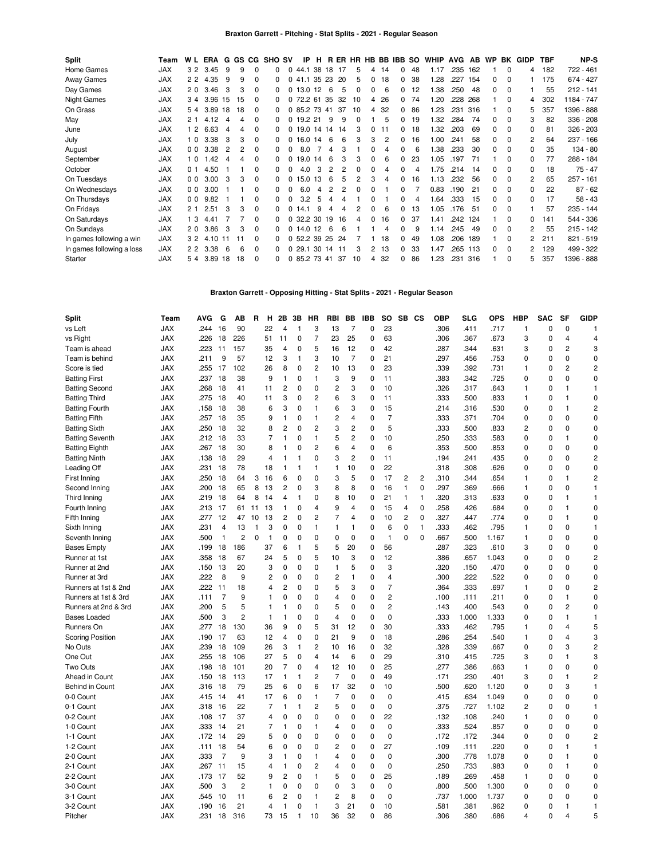| Split                     | Team       | W L            | ERA      |                |    | G GS CG  | <b>SHO SV</b> |              | IP              | н  |            |     |              |          |    | RER HR HB BB IBB SO |    | WHIP  | AVG  | AB  | <b>WP</b> | BK          | GIDP         | <b>TBF</b> | NP-S        |
|---------------------------|------------|----------------|----------|----------------|----|----------|---------------|--------------|-----------------|----|------------|-----|--------------|----------|----|---------------------|----|-------|------|-----|-----------|-------------|--------------|------------|-------------|
| Home Games                | <b>JAX</b> |                | 3 2 3.45 | 9              | 9  | 0        | 0             | 0            | 44.1            |    | 38 18 17   |     | 5            | 4        | 14 | $\Omega$            | 48 | 1.17  | .235 | 162 |           | $\Omega$    | 4            | 182        | 722 - 461   |
| Away Games                | <b>JAX</b> |                | 2 2 4.35 | 9              | 9  | $\Omega$ | 0             | $\Omega$     | 41.1            |    | 35 23      | -20 | 5            | $\Omega$ | 18 | 0                   | 38 | 1.28  | .227 | 154 | 0         | $\Omega$    |              | 175        | 674 - 427   |
| Day Games                 | <b>JAX</b> | 20             | 3.46     | 3              | 3  | $\Omega$ |               |              | 0,13.0          | 12 | 6          | 5   | 0            | 0        | 6  | 0                   | 12 | .38   | .250 | 48  | 0         | 0           |              | 55         | $212 - 141$ |
| <b>Night Games</b>        | JAX        | 34             | 3.96     | 15             | 15 | $\Omega$ | 0             | 0            | 72.2 61         |    | -35        | 32  | 10           | 4        | 26 | 0                   | 74 | 20. ا | .228 | 268 |           | $\Omega$    | 4            | 302        | 1184 - 747  |
| On Grass                  | <b>JAX</b> | 54             | 3.89     | 18             | 18 | $\Omega$ | 0             |              | 0 85.2 73 41    |    |            | 37  | 10           | 4        | 32 | 0                   | 86 | 1.23  | .231 | 316 |           | 0           | 5            | 357        | 1396 - 888  |
| May                       | <b>JAX</b> | 2 <sub>1</sub> | 4.12     | 4              | 4  | $\Omega$ | 0             |              | $0$ 19.2 21     |    | 9          | 9   | 0            |          | 5  | $\Omega$            | 19 | 1.32  | .284 | 74  | 0         | $\Omega$    | 3            | 82         | $336 - 208$ |
| June                      | <b>JAX</b> | 12             | 6.63     | 4              | 4  | $\Omega$ | 0             | 0            | 19.0            |    | 14 14      | 14  | 3            | $\Omega$ | 11 | 0                   | 18 | .32   | .203 | 69  | 0         | $\Omega$    | $\Omega$     | 81         | $326 - 203$ |
| July                      | <b>JAX</b> | 10             | 3.38     | 3              | 3  | $\Omega$ | 0             |              | 0, 16.0, 14     |    | 6          | 6   | 3            | 3        | 2  | 0                   | 16 | 1.00  | .241 | 58  | 0         | $\Omega$    | 2            | 64         | $237 - 166$ |
| August                    | <b>JAX</b> | 0 <sub>0</sub> | 3.38     | $\overline{2}$ |    | $\Omega$ | 0             | $\Omega$     | 8.0             |    | 4          | 3   |              | $\Omega$ | 4  | 0                   | 6  | 1.38  | .233 | 30  | 0         | $\mathbf 0$ | $\Omega$     | 35         | $134 - 80$  |
| September                 | <b>JAX</b> | 10             | 1.42     | 4              | 4  | $\Omega$ | 0             | $\Omega$     | 19.0 14         |    | 6          | 3   | 3            | 0        | 6  | $\Omega$            | 23 | 1.05  | .197 | 71  |           | $\Omega$    | $\Omega$     | 77         | 288 - 184   |
| October                   | <b>JAX</b> | 0 <sub>1</sub> | 4.50     |                |    | $\Omega$ | <sup>0</sup>  |              | 4.0             | 3  |            |     | $\Omega$     | 0        | 4  |                     | 4  | 1.75  | .214 | 14  | 0         | $\Omega$    | $\Omega$     | 18         | $75 - 47$   |
| On Tuesdays               | <b>JAX</b> | 0 <sub>0</sub> | 3.00     | 3              | 3  | $\Omega$ | 0             | 0            | 15.0            | 13 | 6          | 5   | 2            | 3        | 4  | 0                   | 16 | 1.13  | .232 | 56  | 0         | $\Omega$    | 2            | 65         | $257 - 161$ |
| On Wednesdays             | <b>JAX</b> | 0 <sub>0</sub> | 3.00     |                |    | $\Omega$ | 0             | <sup>0</sup> | 6.0             | 4  |            |     | <sup>0</sup> | $\Omega$ |    | <sup>0</sup>        |    | 0.83  | .190 | 21  | 0         | $\Omega$    | $\Omega$     | 22         | $87 - 62$   |
| On Thursdays              | <b>JAX</b> | 0 <sub>0</sub> | 9.82     |                |    | 0        | 0             | 0            | 3.2             | 5  | 4          | 4   |              | 0        |    | <sup>0</sup>        | 4  | 1.64  | .333 | 15  | 0         | $\Omega$    | <sup>0</sup> | 17         | $58 - 43$   |
| On Fridays                | <b>JAX</b> | 21             | 2.51     | 3              | 3  | $\Omega$ | 0             | $\Omega$     | 141             | 9  | 4          | 4   | 2            | 0        | 6  | 0                   | 13 | 1.05  | .176 | 51  | $\Omega$  | $\Omega$    |              | 57         | $235 - 144$ |
| On Saturdays              | <b>JAX</b> | 13             | 4.41     |                |    | $\Omega$ | 0             | 0            | 32.2            |    | 30 19      | 16  | 4            | $\Omega$ | 16 | 0                   | 37 | 1.41  | .242 | 124 |           | $\Omega$    | 0            | 141        | 544 - 336   |
| On Sundays                | <b>JAX</b> | 20             | 3.86     | 3              | 3  | $\Omega$ | 0             |              | 0, 14.0         | 12 | $\epsilon$ | 6   |              |          | 4  | 0                   | 9  | 1.14  | .245 | 49  | 0         | $\Omega$    | 2            | 55         | $215 - 142$ |
| In games following a win  | <b>JAX</b> | 32             | 4.10     | -11            |    | $\Omega$ | 0             |              | 0 52.2 39 25 24 |    |            |     |              |          | 18 | 0                   | 49 | 1.08  | .206 | 189 |           | $\Omega$    | 2            | 211        | $821 - 519$ |
| In games following a loss | <b>JAX</b> | 22             | 3.38     | 6              | 6  | $\Omega$ | 0             | 0            | 29.1            |    | 30 14 11   |     | 3            | 2        | 13 | 0                   | 33 | 1.47  | .265 | 113 | 0         | $\mathbf 0$ | 2            | 129        | 499 - 322   |
| Starter                   | <b>JAX</b> | 54             | 3.89     | 18             | 18 | $\Omega$ |               |              | 0 85.2 73 41    |    |            | 37  | 10           | 4        | 32 | $\Omega$            | 86 | 1.23  | .231 | 316 |           | $\Omega$    | 5            | 357        | 1396 - 888  |

**Braxton Garrett - Opposing Hitting - Stat Splits - 2021 - Regular Season**

| <b>Split</b>            | Team       | <b>AVG</b> | G            | AВ             | R           | н            | 2Β             | 3В           | ΗR             | <b>RBI</b>     | BВ             | IBB         | <b>SO</b>                        | <b>SB</b>               | <b>CS</b>    | <b>OBP</b> | SLG   | OPS   | <b>HBP</b>     | <b>SAC</b>  | SF             | <b>GIDP</b>             |
|-------------------------|------------|------------|--------------|----------------|-------------|--------------|----------------|--------------|----------------|----------------|----------------|-------------|----------------------------------|-------------------------|--------------|------------|-------|-------|----------------|-------------|----------------|-------------------------|
| vs Left                 | <b>JAX</b> | .244       | 16           | 90             |             | 22           | 4              | $\mathbf{1}$ | 3              | 13             | 7              | 0           | 23                               |                         |              | .306       | .411  | .717  | 1              | $\mathbf 0$ | 0              | 1                       |
| vs Right                | <b>JAX</b> | .226       | 18           | 226            |             | 51           | 11             | 0            | $\overline{7}$ | 23             | 25             | 0           | 63                               |                         |              | .306       | .367  | .673  | 3              | 0           | 4              | 4                       |
| Team is ahead           | <b>JAX</b> | .223       | 11           | 157            |             | 35           | 4              | 0            | 5              | 16             | 12             | 0           | 42                               |                         |              | .287       | .344  | .631  | 3              | 0           | $\overline{c}$ | 3                       |
| Team is behind          | <b>JAX</b> | .211       | 9            | 57             |             | 12           | 3              | 1            | 3              | 10             | $\overline{7}$ | 0           | 21                               |                         |              | .297       | .456  | .753  | 0              | 0           | 0              | 0                       |
| Score is tied           | <b>JAX</b> | .255       | 17           | 102            |             | 26           | 8              | 0            | $\overline{c}$ | 10             | 13             | 0           | 23                               |                         |              | .339       | .392  | .731  | 1              | 0           | 2              | $\overline{c}$          |
| <b>Batting First</b>    | <b>JAX</b> | .237       | 18           | 38             |             | 9            | 1              | 0            | $\mathbf{1}$   | 3              | 9              | 0           | 11                               |                         |              | .383       | .342  | .725  | 0              | 0           | 0              | 0                       |
| <b>Batting Second</b>   | <b>JAX</b> | .268       | 18           | 41             |             | 11           | $\overline{c}$ | 0            | $\mathbf 0$    | 2              | 3              | 0           | 10                               |                         |              | .326       | .317  | .643  | 1              | 0           | 1              | $\mathbf{1}$            |
| <b>Batting Third</b>    | <b>JAX</b> | .275       | 18           | 40             |             | 11           | 3              | $\mathbf 0$  | 2              | 6              | 3              | 0           | 11                               |                         |              | .333       | .500  | .833  | 1              | 0           | 1              | 0                       |
| <b>Batting Fourth</b>   | <b>JAX</b> | .158       | 18           | 38             |             | 6            | 3              | 0            | $\mathbf{1}$   | 6              | 3              | 0           | 15                               |                         |              | .214       | .316  | .530  | 0              | $\mathbf 0$ | 1              | $\overline{c}$          |
| <b>Batting Fifth</b>    | <b>JAX</b> | .257       | 18           | 35             |             | 9            | 1              | $\mathbf 0$  | $\mathbf{1}$   | 2              | 4              | 0           | $\overline{7}$                   |                         |              | .333       | 371   | .704  | 0              | $\mathbf 0$ | 0              | $\mathbf 0$             |
| <b>Batting Sixth</b>    | <b>JAX</b> | .250       | 18           | 32             |             | 8            | $\overline{2}$ | 0            | $\overline{c}$ | 3              | $\overline{c}$ | 0           | 5                                |                         |              | .333       | .500  | .833  | $\overline{c}$ | 0           | $\mathbf 0$    | $\mathbf 0$             |
| <b>Batting Seventh</b>  | <b>JAX</b> | .212       | 18           | 33             |             | 7            | $\mathbf{1}$   | 0            | $\mathbf{1}$   | 5              | $\overline{c}$ | 0           | 10                               |                         |              | .250       | .333  | .583  | 0              | $\mathbf 0$ | 1              | 0                       |
| <b>Batting Eighth</b>   | <b>JAX</b> | .267       | 18           | 30             |             | 8            | 1              | 0            | $\overline{2}$ | 6              | 4              | 0           | 6                                |                         |              | .353       | .500  | .853  | 0              | $\mathbf 0$ | 0              | 0                       |
| <b>Batting Ninth</b>    | JAX        | .138       | 18           | 29             |             | 4            | 1              | $\mathbf{1}$ | 0              | 3              | 2              | 0           | 11                               |                         |              | .194       | .241  | .435  | 0              | 0           | 0              | $\overline{c}$          |
| Leading Off             | <b>JAX</b> | .231       | 18           | 78             |             | 18           | 1              | 1            | $\mathbf{1}$   | 1              | 10             | 0           | 22                               |                         |              | .318       | 308   | .626  | 0              | 0           | 0              | 0                       |
| First Inning            | <b>JAX</b> | .250       | 18           | 64             | 3           | 16           | 6              | 0            | 0              | 3              | 5              | 0           | 17                               | 2                       | 2            | .310       | .344  | .654  | 1              | 0           | 1              | $\overline{\mathbf{c}}$ |
| Second Inning           | <b>JAX</b> | .200       | 18           | 65             | 8           | 13           | 2              | 0            | 3              | 8              | 8              | 0           | 16                               | $\mathbf{1}$            | 0            | .297       | .369  | .666  | 1              | 0           | $\mathbf 0$    | $\mathbf{1}$            |
| Third Inning            | <b>JAX</b> | .219       | 18           | 64             | 8           | 14           | 4              | 1            | 0              | 8              | 10             | 0           | 21                               | $\mathbf{1}$            | $\mathbf{1}$ | .320       | .313  | .633  | 0              | 0           | 1              | $\mathbf{1}$            |
| Fourth Inning           | <b>JAX</b> | .213       | 17           | 61             | 11          | 13           | 1              | 0            | 4              | 9              | 4              | 0           | 15                               | 4                       | 0            | .258       | .426  | .684  | 0              | 0           | 1              | 0                       |
| Fifth Inning            | <b>JAX</b> | .277       | 12           | 47             | 10          | 13           | $\overline{c}$ | 0            | $\overline{c}$ | 7              | 4              | 0           | 10                               | $\overline{\mathbf{c}}$ | 0            | .327       | .447  | .774  | 0              | 0           | 1              | 0                       |
| Sixth Inning            | <b>JAX</b> | .231       | 4            | 13             | 1           | 3            | 0              | 0            | $\mathbf{1}$   | 1              | 1              | 0           | 6                                | $\mathbf 0$             | $\mathbf{1}$ | .333       | .462  | .795  | 1              | $\Omega$    | $\Omega$       | $\mathbf{1}$            |
| Seventh Inning          | <b>JAX</b> | .500       | $\mathbf{1}$ | $\overline{c}$ | $\mathbf 0$ | $\mathbf{1}$ | 0              | 0            | $\Omega$       | 0              | 0              | 0           | $\mathbf{1}$                     | $\Omega$                | $\Omega$     | .667       | .500  | 1.167 | 1              | 0           | 0              | 0                       |
|                         | <b>JAX</b> | .199       | 18           | 186            |             | 37           | 6              | $\mathbf{1}$ | 5              | 5              | 20             | 0           | 56                               |                         |              | .287       | .323  | .610  | 3              | 0           | 0              | 0                       |
| <b>Bases Empty</b>      | <b>JAX</b> | .358       | 18           | 67             |             | 24           | 5              | 0            | 5              | 10             | 3              | 0           | 12                               |                         |              | .386       | .657  | 1.043 | 0              | 0           | 0              | $\overline{c}$          |
| Runner at 1st           |            |            |              |                |             |              |                |              |                |                |                |             |                                  |                         |              |            |       |       |                |             | 0              |                         |
| Runner at 2nd           | <b>JAX</b> | .150       | 13           | 20             |             | 3            | 0              | $\mathbf 0$  | 0              | 1              | 5              | 0           | 3                                |                         |              | .320       | .150  | .470  | 0              | 0           |                | 0                       |
| Runner at 3rd           | <b>JAX</b> | .222       | 8            | 9              |             | 2            | 0              | 0            | $\Omega$       | 2<br>5         | 1              | 0           | $\overline{4}$<br>$\overline{7}$ |                         |              | .300       | .222  | .522  | $\Omega$       | 0           | $\Omega$       | $\mathbf 0$             |
| Runners at 1st & 2nd    | <b>JAX</b> | .222       | 11           | 18             |             | 4            | 2              | 0            | 0              |                | 3              | 0           |                                  |                         |              | .364       | .333  | .697  | 1              | 0           | 0              | $\overline{c}$          |
| Runners at 1st & 3rd    | <b>JAX</b> | .111       | 7            | 9              |             | 1            | 0              | 0            | 0              | 4              | 0              | 0           | $\overline{c}$                   |                         |              | .100       | .111  | .211  | 0              | 0           | 1              | $\mathbf 0$             |
| Runners at 2nd & 3rd    | <b>JAX</b> | .200       | 5            | 5              |             | 1            | 1              | 0            | 0              | 5              | 0              | 0           | $\overline{c}$                   |                         |              | .143       | .400  | .543  | 0              | 0           | 2              | 0                       |
| <b>Bases Loaded</b>     | <b>JAX</b> | .500       | 3            | $\overline{c}$ |             | $\mathbf{1}$ | $\mathbf{1}$   | 0            | 0              | 4              | 0              | 0           | $\mathbf 0$                      |                         |              | .333       | 1.000 | 1.333 | 0              | 0           | 1              | $\mathbf{1}$            |
| Runners On              | <b>JAX</b> | .277       | 18           | 130            |             | 36           | 9              | 0            | 5              | 31             | 12             | 0           | 30                               |                         |              | .333       | .462  | .795  | 1              | 0           | $\overline{4}$ | 5                       |
| <b>Scoring Position</b> | <b>JAX</b> | .190       | 17           | 63             |             | 12           | 4              | 0            | 0              | 21             | 9              | 0           | 18                               |                         |              | .286       | .254  | .540  | $\mathbf{1}$   | $\mathbf 0$ | 4              | 3                       |
| No Outs                 | <b>JAX</b> | .239       | 18           | 109            |             | 26           | 3              | $\mathbf{1}$ | $\overline{c}$ | 10             | 16             | 0           | 32                               |                         |              | .328       | .339  | .667  | 0              | $\mathbf 0$ | 3              | $\overline{c}$          |
| One Out                 | <b>JAX</b> | .255       | 18           | 106            |             | 27           | 5              | 0            | $\overline{4}$ | 14             | 6              | 0           | 29                               |                         |              | .310       | .415  | .725  | 3              | $\mathbf 0$ | $\mathbf{1}$   | 3                       |
| Two Outs                | <b>JAX</b> | .198       | 18           | 101            |             | 20           | $\overline{7}$ | $\mathbf 0$  | $\overline{4}$ | 12             | 10             | 0           | 25                               |                         |              | .277       | .386  | .663  | 1              | $\mathbf 0$ | 0              | 0                       |
| Ahead in Count          | <b>JAX</b> | .150       | 18           | 113            |             | 17           | $\mathbf{1}$   | $\mathbf{1}$ | $\overline{c}$ | $\overline{7}$ | 0              | 0           | 49                               |                         |              | .171       | .230  | .401  | 3              | $\mathbf 0$ | $\mathbf{1}$   | $\overline{c}$          |
| Behind in Count         | <b>JAX</b> | .316       | 18           | 79             |             | 25           | 6              | $\mathbf 0$  | 6              | 17             | 32             | $\mathbf 0$ | 10                               |                         |              | .500       | .620  | 1.120 | 0              | $\mathbf 0$ | 3              | $\mathbf{1}$            |
| 0-0 Count               | <b>JAX</b> | .415       | 14           | 41             |             | 17           | 6              | 0            | $\mathbf{1}$   | 7              | 0              | 0           | $\mathbf 0$                      |                         |              | .415       | .634  | 1.049 | 0              | $\mathbf 0$ | 0              | 0                       |
| 0-1 Count               | <b>JAX</b> | .318       | 16           | 22             |             | 7            | $\mathbf{1}$   | $\mathbf{1}$ | 2              | 5              | 0              | 0           | $\pmb{0}$                        |                         |              | .375       | .727  | 1.102 | 2              | 0           | 0              | $\mathbf{1}$            |
| 0-2 Count               | <b>JAX</b> | .108       | 17           | 37             |             | 4            | 0              | 0            | 0              | 0              | 0              | 0           | 22                               |                         |              | .132       | .108  | .240  | 1              | 0           | 0              | 0                       |
| 1-0 Count               | <b>JAX</b> | .333       | 14           | 21             |             | 7            | $\mathbf{1}$   | 0            | $\mathbf{1}$   | 4              | 0              | 0           | $\mathbf 0$                      |                         |              | .333       | .524  | .857  | 0              | 0           | 0              | 0                       |
| 1-1 Count               | <b>JAX</b> | .172       | 14           | 29             |             | 5            | 0              | 0            | 0              | 0              | 0              | 0           | $\mathbf 0$                      |                         |              | .172       | .172  | .344  | 0              | $\mathbf 0$ | $\mathbf 0$    | 2                       |
| 1-2 Count               | <b>JAX</b> | .111       | 18           | 54             |             | 6            | 0              | 0            | 0              | 2              | 0              | 0           | 27                               |                         |              | .109       | .111  | .220  | 0              | $\mathbf 0$ | 1              | $\mathbf{1}$            |
| 2-0 Count               | <b>JAX</b> | .333       | 7            | 9              |             | 3            | 1              | 0            | $\mathbf{1}$   | 4              | 0              | 0           | $\pmb{0}$                        |                         |              | .300       | .778  | 1.078 | 0              | 0           | 1              | 0                       |
| 2-1 Count               | <b>JAX</b> | .267       | 11           | 15             |             | 4            | 1              | 0            | $\overline{c}$ | 4              | 0              | 0           | 0                                |                         |              | .250       | .733  | .983  | $\Omega$       | 0           | 1              | 0                       |
| 2-2 Count               | <b>JAX</b> | .173       | 17           | 52             |             | 9            | $\overline{2}$ | 0            | $\mathbf{1}$   | 5              | 0              | 0           | 25                               |                         |              | .189       | .269  | .458  | 1              | 0           | 0              | 0                       |
| 3-0 Count               | <b>JAX</b> | .500       | 3            | 2              |             | 1            | 0              | 0            | 0              | 0              | 3              | 0           | $\mathbf 0$                      |                         |              | .800       | .500  | 1.300 | 0              | 0           | 0              | 0                       |
| 3-1 Count               | <b>JAX</b> | .545       | 10           | 11             |             | 6            | 2              | 0            | $\mathbf{1}$   | 2              | 8              | 0           | $\mathbf 0$                      |                         |              | .737       | 1.000 | 1.737 | 0              | 0           | 0              | 0                       |
| 3-2 Count               | <b>JAX</b> | .190       | 16           | 21             |             | 4            | 1              | 0            | $\overline{1}$ | 3              | 21             | 0           | 10                               |                         |              | .581       | .381  | .962  | $\Omega$       | 0           | 1              | $\mathbf{1}$            |
| Pitcher                 | <b>JAX</b> | .231       | 18           | 316            |             | 73           | 15             | $\mathbf{1}$ | 10             | 36             | 32             | $\Omega$    | 86                               |                         |              | .306       | 380   | .686  | 4              | $\Omega$    | 4              | 5                       |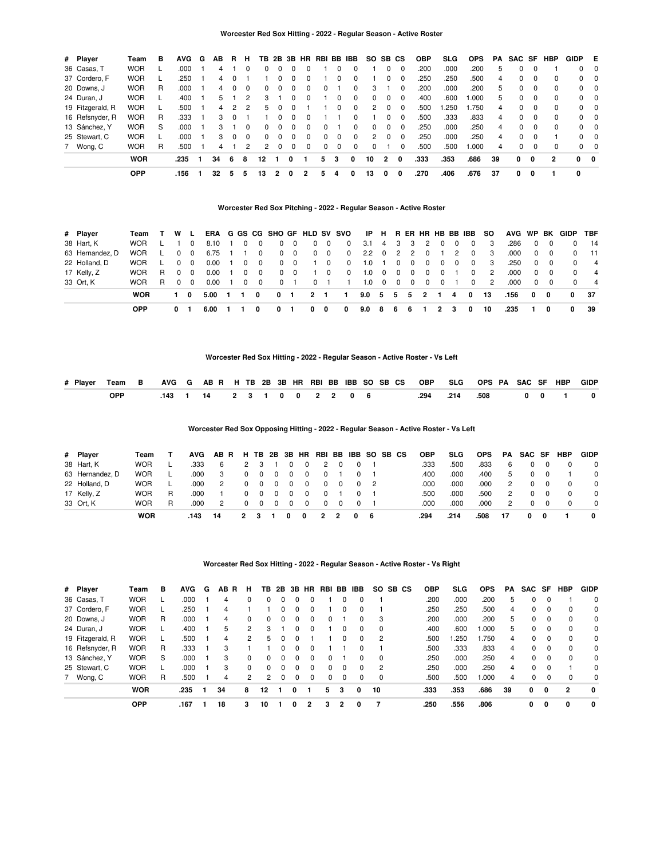| # Player         | Team       | в | <b>AVG</b> | G | AB | R.            | н             | ΤВ       |          |          |          | 2B 3B HR RBI BB |          | <b>IBB</b>   | <b>SO</b> | SB CS          |          | <b>OBP</b> | <b>SLG</b> | <b>OPS</b> | PA | SAC SF       |          | <b>HBP</b> | <b>GIDP</b> | E                       |
|------------------|------------|---|------------|---|----|---------------|---------------|----------|----------|----------|----------|-----------------|----------|--------------|-----------|----------------|----------|------------|------------|------------|----|--------------|----------|------------|-------------|-------------------------|
| 36 Casas, T      | <b>WOR</b> |   | .000       |   | 4  |               |               |          |          |          | 0        |                 | 0        | $\Omega$     |           |                | $\Omega$ | .200       | .000       | .200       | 5  | 0            | $\Omega$ |            | $\Omega$    | $\overline{\mathbf{0}}$ |
| 37 Cordero, F    | <b>WOR</b> |   | .250       |   | 4  |               |               |          |          |          | 0        |                 | 0        | $\Omega$     |           |                | $\Omega$ | .250       | .250       | .500       | 4  | 0            | $\Omega$ | $\Omega$   |             | $0\quad 0$              |
| 20 Downs, J      | <b>WOR</b> | R | .000       |   | 4  |               | $\Omega$      | 0        | $\Omega$ | $\Omega$ | $\Omega$ | 0               |          | 0            | з         |                | $\Omega$ | .200       | .000       | .200       | 5  | 0            | $\Omega$ | $\Omega$   |             | $0\quad 0$              |
| 24 Duran, J      | <b>WOR</b> |   | .400       |   | 5. |               | $\mathcal{P}$ | 3        |          |          | $\Omega$ |                 | 0        | $\Omega$     | $\Omega$  |                | $\Omega$ | .400       | .600       | .000       | 5. | 0            | $\Omega$ | $\Omega$   |             | $0\quad 0$              |
| 19 Fitzgerald, R | <b>WOR</b> |   | .500       |   | 4  | $\mathcal{P}$ | 2             | 5.       |          |          |          |                 | 0        | $\Omega$     | 2         |                | $\Omega$ | .500       | .250       | .750       | 4  | <sup>0</sup> | $\Omega$ | $\Omega$   |             | $0\quad 0$              |
| 16 Refsnyder, R  | <b>WOR</b> | R | .333       |   | 3  |               |               |          | $\Omega$ |          | $\Omega$ |                 |          | $\Omega$     |           |                | $\Omega$ | .500       | .333       | .833       | 4  | $\Omega$     | $\Omega$ | $\Omega$   |             | $0 \quad 0$             |
| 13 Sánchez, Y    | <b>WOR</b> | S | .000       |   | 3  |               | $\Omega$      | $\Omega$ | $\Omega$ | $\Omega$ | $\Omega$ | <sup>0</sup>    |          | $\Omega$     | $\Omega$  | $\Omega$       | $\Omega$ | .250       | .000       | .250       | 4  | <sup>0</sup> | $\Omega$ | $\Omega$   |             | $0 \quad 0$             |
| 25 Stewart, C    | <b>WOR</b> |   | .000       |   | 3  |               | $\Omega$      | $\Omega$ | $\Omega$ | $\Omega$ | $\Omega$ | <sup>0</sup>    | $\Omega$ | $\Omega$     | 2         | $\Omega$       | $\Omega$ | .250       | .000       | .250       | 4  | $\Omega$     | $\Omega$ |            |             | $0 \quad 0$             |
| 7 Wong, C        | <b>WOR</b> | R | .500       |   | 4  |               | 2             | 2        | $\Omega$ | $\Omega$ | $\Omega$ | $\Omega$        | $\Omega$ | $\Omega$     | $\Omega$  |                | $\Omega$ | .500       | .500       | .000       | 4  | 0            | $\Omega$ | $\Omega$   |             | $0\quad 0$              |
|                  | <b>WOR</b> |   | .235       |   | 34 | 6             | 8             | 12       |          | 0        |          | 5.              | 3        | $\mathbf{0}$ | 10        | $\overline{2}$ | 0        | .333       | .353       | .686       | 39 | 0            | 0        | 2          | $\Omega$    | - 0                     |
|                  | <b>OPP</b> |   | .156       |   | 32 | 5             | 5             | 13       |          | 0        | 2        | 5               | 4        | o            | 13        | 0              | 0        | .270       | .406       | .676       | 37 | 0            | 0        |            | $\mathbf 0$ |                         |

### **Worcester Red Sox Pitching - 2022 - Regular Season - Active Roster**

| # Player        | Team       |    | W L        |          |      |             |   |              |          |             |                |            | ERA G GS CG SHO GF HLD SV SVO | IP.           |                         |                         |              |            |          |          | H RERHRHBBBIBB | <b>SO</b> |      |              |          | AVG WP BK GIDP | <b>TBF</b>     |
|-----------------|------------|----|------------|----------|------|-------------|---|--------------|----------|-------------|----------------|------------|-------------------------------|---------------|-------------------------|-------------------------|--------------|------------|----------|----------|----------------|-----------|------|--------------|----------|----------------|----------------|
| 38 Hart, K      | <b>WOR</b> |    |            |          | 8.10 |             | 0 | $\Omega$     |          | $\Omega$    | $\Omega$       | 0          | $\Omega$                      | 3.1           | 4                       | $\overline{\mathbf{3}}$ | - 3          | 2          |          | - 0      | $\Omega$       | 3         | .286 | $\Omega$     |          |                | - 14           |
| 63 Hernandez, D | <b>WOR</b> |    |            | $\Omega$ | 6.75 |             |   | 0            | $\Omega$ | $\mathbf 0$ |                | $0\quad 0$ | $^{\circ}$                    | $2.2^{\circ}$ | $\overline{\mathbf{0}}$ |                         | 2 2          | $^{\circ}$ |          | 2        | $\Omega$       | -3        | .000 | $\mathbf{0}$ | $\Omega$ |                | 11             |
| 22 Holland, D   | <b>WOR</b> |    | $\Omega$   | - 0      | 0.00 |             | 0 | $\Omega$     | $\Omega$ | $\Omega$    |                | $\Omega$   | $\Omega$                      | 1.0           |                         | $^{\circ}$              | $\mathbf{0}$ | $\Omega$   | $\Omega$ | $\Omega$ | $\Omega$       | 3         | .250 | $\Omega$     | $\Omega$ |                | $\overline{4}$ |
| 17 Kelly, Z     | <b>WOR</b> | R  | $0\quad 0$ |          | 0.00 |             | 0 | $\Omega$     | $\Omega$ | $\Omega$    |                | $\Omega$   | $\Omega$                      | 1.0           | $\overline{\mathbf{0}}$ | $\overline{\mathbf{0}}$ | $\mathbf{0}$ | $\Omega$   | $\Omega$ |          | 0              | 2         | .000 | $\Omega$     | $\Omega$ |                | $\overline{4}$ |
| 33 Ort, K       | <b>WOR</b> | R. | $\Omega$   | - 0      | 0.00 |             | 0 | $\Omega$     |          |             |                |            |                               | 1.0           | $\Omega$                | $\overline{\mathbf{0}}$ | $\Omega$     | $\Omega$   | $\Omega$ |          | $\Omega$       | 2         | .000 | $\Omega$     | $\Omega$ |                | $\overline{4}$ |
|                 | <b>WOR</b> |    | 10         |          | 5.00 | $\mathbf 1$ |   | <sup>0</sup> | 0        |             | $\overline{2}$ |            |                               | 9.0           | $-5$                    | 5                       | -5           | - 2        |          | 4        | $\mathbf{0}$   | 13        | .156 | 0            | - 0      | 0              | - 37           |
|                 | <b>OPP</b> |    | 0          |          | 6.00 |             |   |              |          |             | 0              | 0          | 0                             | 9.0           | 8                       | 6                       | 6            |            | 2        | з        | 0              | 10        | .235 |              | O        | 0              | -39            |

### **Worcester Red Sox Hitting - 2022 - Regular Season - Active Roster - Vs Left**

|            |  |  |  |  |  |  |  |  | # Player Team B AVG G AB R H TB 2B 3B HR RBI BB IBB SO SB CS OBP SLG OPS PA SAC SF HBP GIDP |  |  |
|------------|--|--|--|--|--|--|--|--|---------------------------------------------------------------------------------------------|--|--|
| <b>OPP</b> |  |  |  |  |  |  |  |  | .143 1 14 2 3 1 0 0 2 2 0 6 294 214 .508 0 0 1 0                                            |  |  |

### **Worcester Red Sox Opposing Hitting - 2022 - Regular Season - Active Roster - Vs Left**

| # Player        | Team       |   | AVG  | AB R H TB 2B 3B HR RBI BB IBB SO SB CS |              |     |          |     |                |   |   |   |            |  | <b>OBP</b> | <b>SLG</b> | <b>OPS</b> | PA | SAC SF |   | <b>HBP</b> | <b>GIDP</b> |
|-----------------|------------|---|------|----------------------------------------|--------------|-----|----------|-----|----------------|---|---|---|------------|--|------------|------------|------------|----|--------|---|------------|-------------|
| 38 Hart, K      | <b>WOR</b> |   | .333 | 6                                      | 2            |     |          |     | - 0            |   |   |   |            |  | .333       | .500       | .833       | 6  |        |   |            | $\Omega$    |
| 63 Hernandez, D | <b>WOR</b> |   | .000 | 3                                      |              |     | $\Omega$ | 0   | $\Omega$       | 0 |   |   |            |  | .400       | .000       | .400       | 5  |        |   |            | $\Omega$    |
| 22 Holland, D   | <b>WOR</b> |   | .000 | 2                                      | $\Omega$     | - 0 | $\Omega$ | 0   | $\overline{0}$ | 0 |   |   | $0\quad 2$ |  | .000       | .000       | .000       | 2  |        |   |            | $\Omega$    |
| 17 Kelly, Z     | <b>WOR</b> | R | .000 |                                        | 0            | 0   | $\Omega$ | 0   | $\overline{0}$ |   |   |   |            |  | .500       | .000       | .500       | 2  |        |   |            | $\Omega$    |
| 33 Ort, K       | <b>WOR</b> |   | .000 | 2                                      |              | - 0 | $\Omega$ | - 0 | $\overline{0}$ | 0 |   |   |            |  | .000       | .000       | .000       | 2  |        |   |            | $\Omega$    |
|                 | <b>WOR</b> |   | 143  | 14                                     | $\mathbf{2}$ |     |          |     | 0              | 2 | 2 | 0 | - 6        |  | .294       | .214       | .508       | 17 | 0      | 0 |            | 0           |

#### **Worcester Red Sox Hitting - 2022 - Regular Season - Active Roster - Vs Right**

| # Player         | Team       | в | <b>AVG</b> | G | AB.<br><b>R</b> | н            | TB            |          |          | 2B 3B HR | RBI BB   |          | <b>IBB</b> | SO.         | SB CS | <b>OBP</b> | <b>SLG</b> | <b>OPS</b> | PA. | SAC SF       |              | <b>HBP</b>     | <b>GIDP</b>  |
|------------------|------------|---|------------|---|-----------------|--------------|---------------|----------|----------|----------|----------|----------|------------|-------------|-------|------------|------------|------------|-----|--------------|--------------|----------------|--------------|
| 36 Casas, T      | <b>WOR</b> |   | .000       |   | 4               | 0            | 0             | $\Omega$ | $\Omega$ | $\Omega$ |          |          | $\Omega$   |             |       | .200       | .000       | .200       | 5   |              | $\Omega$     |                | $\Omega$     |
| 37 Cordero, F    | <b>WOR</b> |   | .250       |   | 4               |              |               | 0        | $\Omega$ | $\Omega$ |          | $\Omega$ | 0          |             |       | .250       | .250       | .500       | 4   | 0            | $\Omega$     | $\Omega$       | $\Omega$     |
| 20 Downs, J      | <b>WOR</b> | R | .000       |   | 4               | $\Omega$     | $\Omega$      | $\Omega$ | $\Omega$ | $\Omega$ | $\Omega$ |          | 0          | -3          |       | .200       | .000       | .200       | 5   | 0            | $\Omega$     | $\Omega$       | $\Omega$     |
| 24 Duran, J      | <b>WOR</b> |   | .400       |   | 5               | 2            | 3             |          | 0        | $\Omega$ |          | $\Omega$ | 0          | $\Omega$    |       | .400       | .600       | 000.1      | 5   | 0            | $\Omega$     | $\Omega$       | $\Omega$     |
| 19 Fitzgerald, R | <b>WOR</b> |   | .500       |   | 4               | 2            | 5             | 0        |          |          |          | $\Omega$ | 0          | -2          |       | .500       | .250       | .750       | 4   | 0            | $\Omega$     | $\Omega$       | $\Omega$     |
| 16 Refsnyder, R  | <b>WOR</b> | R | .333       |   | 3               |              |               | 0        | $\Omega$ | $\Omega$ |          |          | 0          |             |       | .500       | .333       | .833       | 4   | 0            | $\Omega$     | $\Omega$       | $\Omega$     |
| 13 Sánchez, Y    | <b>WOR</b> | S | .000       |   | 3               | $\Omega$     | 0             | 0        | $\Omega$ | $\Omega$ | $\Omega$ |          | 0          | $\Omega$    |       | .250       | .000       | .250       | 4   | <sup>0</sup> | $\Omega$     | $\Omega$       | $\Omega$     |
| 25 Stewart, C    | <b>WOR</b> |   | .000       |   | 3               | $\Omega$     | 0             | $\Omega$ | $\Omega$ | $\Omega$ | $\Omega$ | $\Omega$ | 0          | 2           |       | .250       | .000       | .250       | 4   | <sup>0</sup> | - 0          |                | $\Omega$     |
| 7 Wong, C        | <b>WOR</b> | R | .500       |   | 4               | $\mathbf{2}$ | $\mathcal{P}$ | $\Omega$ | $\Omega$ | $\Omega$ | $\Omega$ | $\Omega$ |            | $\mathbf 0$ |       | .500       | .500       | 000.1      | 4   | 0            | $\Omega$     | 0              | $\Omega$     |
|                  | <b>WOR</b> |   | .235       |   | 34              | 8            | 12            |          | 0        |          | 5        | 3        | 0          | 10          |       | .333       | .353       | .686       | 39  | $\mathbf{0}$ | $\mathbf{0}$ | $\overline{2}$ | 0            |
|                  | <b>OPP</b> |   | .167       |   | 18              | 3            | 10            |          | 0        |          | з        | 2        | $\Omega$   |             |       | .250       | .556       | .806       |     | 0            | $\mathbf{0}$ | 0              | $\mathbf{0}$ |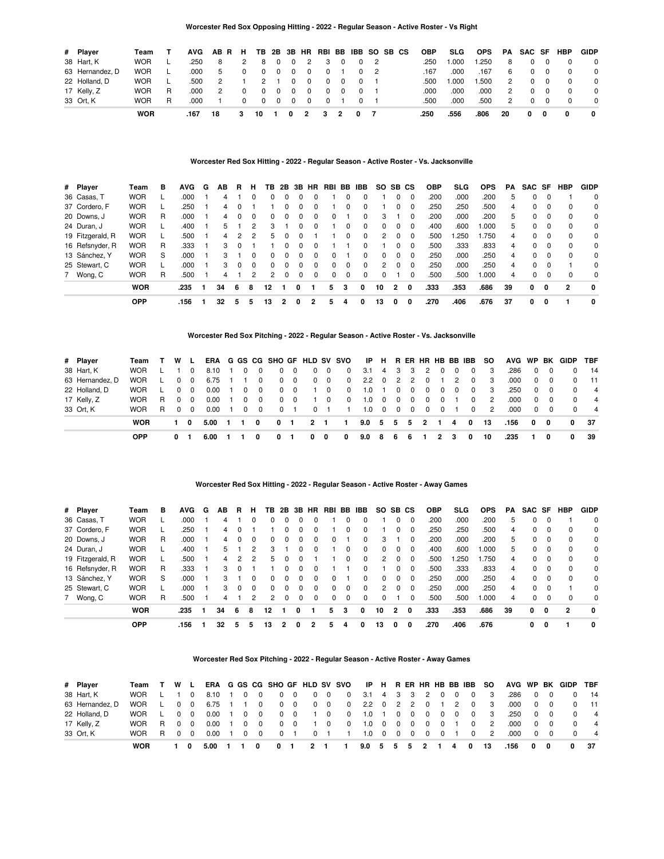### **Worcester Red Sox Opposing Hitting - 2022 - Regular Season - Active Roster - Vs Right**

| # Player        | Team       |    | AVG  | ABR H |          |               |                         |                         |          | TB 2B 3B HR RBI BB IBB SO SB CS |     |   |     |  | <b>OBP</b> | <b>SLG</b> | <b>OPS</b> | PA | SAC SF   |          | <b>HBP</b> | <b>GIDP</b>  |
|-----------------|------------|----|------|-------|----------|---------------|-------------------------|-------------------------|----------|---------------------------------|-----|---|-----|--|------------|------------|------------|----|----------|----------|------------|--------------|
| 38 Hart, K      | <b>WOR</b> |    | .250 | 8     | 2        | 8             | $\overline{\mathbf{0}}$ | $\Omega$                | 2        |                                 | - 0 |   | 2   |  | .250       | 1.000      | .250       | 8  |          |          |            | $\mathbf 0$  |
| 63 Hernandez, D | <b>WOR</b> |    | .000 | -5    |          | $\Omega$      | $\Omega$                | $\Omega$                | 0        |                                 |     |   | - 2 |  | .167       | .000       | .167       | 6  |          |          |            | $\mathbf 0$  |
| 22 Holland, D   | <b>WOR</b> |    | .500 | 2     |          | $\mathcal{P}$ |                         | $\Omega$                | $\Omega$ |                                 | 0   |   |     |  | .500       | 1.000      | .500       | 2  | $\Omega$ |          |            | $\Omega$     |
| 17 Kelly, Z     | <b>WOR</b> | R. | .000 | 2     |          |               | $\Omega$                | $\Omega$                | 0        |                                 |     |   |     |  | .000       | .000       | .000       | 2  |          |          |            | $\Omega$     |
| 33 Ort, K       | <b>WOR</b> | R  | .000 |       | $\Omega$ |               | $0\quad 0$              | $\overline{\mathbf{0}}$ | $\Omega$ |                                 |     |   |     |  | .500       | .000       | .500       | 2  | $\Omega$ | $\Omega$ |            | $\mathbf 0$  |
|                 | <b>WOR</b> |    | .167 | 18    | 3        | 10            |                         |                         |          |                                 |     | 0 |     |  | .250       | .556       | .806       | 20 | 0        | 0        | 0          | $\mathbf{0}$ |

# **Worcester Red Sox Hitting - 2022 - Regular Season - Active Roster - Vs. Jacksonville**

| # Player         | Team       | в | <b>AVG</b> | G | AВ | R  | н        | ΤВ             |                |          | 2B 3B HR | RBI | BB       | IBB          | SO.      |          | SB CS    | <b>OBP</b> | <b>SLG</b> | <b>OPS</b> | PA. | SAC SF |          | <b>HBP</b> | <b>GIDP</b> |
|------------------|------------|---|------------|---|----|----|----------|----------------|----------------|----------|----------|-----|----------|--------------|----------|----------|----------|------------|------------|------------|-----|--------|----------|------------|-------------|
| 36 Casas, T      | <b>WOR</b> |   | .000       |   | 4  |    | $\Omega$ | $\Omega$       |                | $\Omega$ | $\Omega$ |     | 0        |              |          | 0        | $\Omega$ | .200       | .000       | .200       | 5   | 0      | $\Omega$ |            | $\Omega$    |
| 37 Cordero, F    | <b>WOR</b> |   | .250       |   | 4  |    |          |                |                | 0        | $\Omega$ |     | $\Omega$ |              |          | 0        | $\Omega$ | .250       | .250       | .500       | 4   | 0      | $\Omega$ | $\Omega$   | 0           |
| 20 Downs, J      | <b>WOR</b> | R | .000       |   | 4  |    | $\Omega$ | 0              | $\Omega$       | $\Omega$ | $\Omega$ | 0   |          | 0            | 3        |          | $\Omega$ | .200       | .000       | .200       | 5   | 0      | $\Omega$ | $\Omega$   | 0           |
| 24 Duran, J      | <b>WOR</b> |   | .400       |   | 5  |    | 2        | 3              |                | $\Omega$ | $\Omega$ |     | $\Omega$ | $\Omega$     | $\Omega$ | $\Omega$ | $\Omega$ | .400       | .600       | 000.1      | 5   | 0      | $\Omega$ | $\Omega$   | 0           |
| 19 Fitzgerald, R | <b>WOR</b> |   | .500       |   | 4  | 2  | 2        | 5              | $\Omega$       | 0        |          |     | $\Omega$ | $\Omega$     | 2        |          | $\Omega$ | .500       | .250       | .750       | 4   | 0      | $\Omega$ | $\Omega$   | $\mathbf 0$ |
| 16 Refsnyder, R  | <b>WOR</b> | R | .333       |   | 3  |    |          |                | 0              | 0        |          |     |          |              |          | 0        | $\Omega$ | .500       | .333       | .833       | 4   | 0      | $\Omega$ | $\Omega$   | $\mathbf 0$ |
| 13 Sánchez, Y    | <b>WOR</b> | S | .000       |   | 3  |    | $\Omega$ | 0              | $\Omega$       | $\Omega$ | $\Omega$ | 0   |          | 0            | $\Omega$ | $\Omega$ | 0        | .250       | .000       | .250       | 4   | 0      | $\Omega$ | $\Omega$   | $\mathbf 0$ |
| 25 Stewart, C    | <b>WOR</b> |   | .000       |   | 3  |    | $\Omega$ | $\Omega$       | $\Omega$       | $\Omega$ | $\Omega$ | 0   | $\Omega$ | $\Omega$     | 2        | $\Omega$ | $\Omega$ | .250       | .000       | .250       | 4   | 0      | $\Omega$ |            | $\mathbf 0$ |
| 7 Wong, C        | <b>WOR</b> | R | .500       |   | 4  |    | 2        | $\mathfrak{p}$ | 0              | 0        | $\Omega$ | 0   | $\Omega$ | $\Omega$     | $\Omega$ |          | 0        | .500       | .500       | 000.1      | 4   | 0      | $\Omega$ | 0          | $\mathbf 0$ |
|                  | <b>WOR</b> |   | .235       |   | 34 | -6 | 8        | 12             |                | 0        |          | 5.  | 3        | $\mathbf{0}$ | 10       | 2        | 0        | .333       | .353       | .686       | 39  | 0      | 0        | 2          | 0           |
|                  | <b>OPP</b> |   | .156       |   | 32 | 5  | 5        | 13             | $\overline{2}$ | 0        |          | 5   |          | 0            | 13       | 0        | 0        | .270       | .406       | .676       | 37  | 0      | 0        |            | $\mathbf 0$ |

#### **Worcester Red Sox Pitching - 2022 - Regular Season - Active Roster - Vs. Jacksonville**

| # Player        | Team       |    | W L      |          |      |       |          |          |            |                         |          |             | ERA G GS CG SHO GF HLD SV SVO |                   |                         |                         |                         |                |            |          | IP H R ER HR HB BB IBB | -SO            |       |                |          | AVG WP BK GIDP | <b>TBF</b>     |
|-----------------|------------|----|----------|----------|------|-------|----------|----------|------------|-------------------------|----------|-------------|-------------------------------|-------------------|-------------------------|-------------------------|-------------------------|----------------|------------|----------|------------------------|----------------|-------|----------------|----------|----------------|----------------|
| 38 Hart, K      | <b>WOR</b> |    |          | $\Omega$ | 8.10 |       | $\Omega$ | $\Omega$ | $\Omega$   | $\Omega$                | $\Omega$ | $\mathbf 0$ | $\mathbf 0$                   | 3.1               | 4 <sup>1</sup>          | - 3                     | -3                      | $\overline{2}$ | $\Omega$   | $\Omega$ | $\Omega$               | -3             | .286  | $\Omega$       | $\Omega$ |                | 14             |
| 63 Hernandez, D | <b>WOR</b> |    | $\Omega$ | $\Omega$ | 6.75 |       |          | $\Omega$ | $^{\circ}$ | $\overline{\mathbf{0}}$ |          | $0\quad 0$  | $\mathbf{0}$                  | 2.2 0 2 2 0       |                         |                         |                         |                |            | 2        | 0                      | - 3            | .000  | $\mathbf{0}$   | $\Omega$ |                | $-11$          |
| 22 Holland, D   | <b>WOR</b> |    | $\Omega$ | $\Omega$ | 0.00 |       | 0        | $\Omega$ | $\Omega$   | - 0                     |          | 0           | $\overline{0}$                | 1.0               |                         | $\Omega$                | $\overline{\mathbf{0}}$ | 0              | 0          | $\Omega$ | $\Omega$               | -3             | .250  | $\overline{0}$ | $\Omega$ |                | $\overline{4}$ |
| 17 Kelly, Z     | <b>WOR</b> | R. | $\Omega$ | $\Omega$ | 0.00 |       | $\Omega$ | $\Omega$ | $\Omega$   | $\Omega$                |          | $\Omega$    | $^{\circ}$                    | 1.0               | $\overline{\mathbf{0}}$ | $\overline{\mathbf{0}}$ | $\overline{0}$          | $\mathbf{0}$   | $\Omega$   |          | $\Omega$               | $\overline{2}$ | .000  | $\Omega$       | $\Omega$ |                | $\overline{4}$ |
| 33 Ort, K       | <b>WOR</b> | R. | $\Omega$ | $\Omega$ | 0.00 |       | $\Omega$ | $\Omega$ | $\Omega$   |                         | $\Omega$ |             |                               | 1.0               | $0\quad 0$              |                         | $\overline{\mathbf{0}}$ |                | $0\quad 0$ |          | $\Omega$               | 2              | .000. | $\Omega$       | $\Omega$ |                | $\overline{4}$ |
|                 | <b>WOR</b> |    | 10       |          | 5.00 | - 1 - |          | 0        | 0          |                         |          | $2 \quad 1$ |                               | $9.0 \t5 \t5 \t5$ |                         |                         |                         | $\overline{2}$ |            | 4        | $\mathbf{o}$           | 13             | .156  | $\mathbf 0$    | 0        | $\mathbf{0}$   | - 37           |
|                 | <b>OPP</b> |    | 0        |          | 6.00 |       |          |          |            |                         | 0        | 0           | 0                             | 9.0               | -8                      | 6                       | 6                       |                | 2          | з        | 0                      | 10             | .235  |                | O        | 0              | -39            |

#### **Worcester Red Sox Hitting - 2022 - Regular Season - Active Roster - Away Games**

| # Player         | Team       | в | <b>AVG</b> | G | AВ | R | н            | TB           | 2B       |          | 3B HR        | RBI BB |          | IBB      | <b>SO</b>     | SB CS    |          | <b>OBP</b> | <b>SLG</b> | <b>OPS</b> | PA | SAC SF   |          | HBP            | <b>GIDP</b> |
|------------------|------------|---|------------|---|----|---|--------------|--------------|----------|----------|--------------|--------|----------|----------|---------------|----------|----------|------------|------------|------------|----|----------|----------|----------------|-------------|
| 36 Casas, T      | <b>WOR</b> |   | .000       |   |    |   |              | $\Omega$     |          |          |              |        |          |          |               |          | 0        | .200       | .000       | .200       | 5  | 0        |          |                | 0           |
| 37 Cordero, F    | <b>WOR</b> |   | .250       |   | 4  |   |              |              |          | $\Omega$ | $\Omega$     |        | 0        |          |               | 0        | $\Omega$ | .250       | .250       | .500       | 4  | 0        | $\Omega$ | $\Omega$       | $\mathbf 0$ |
| 20 Downs, J      | <b>WOR</b> | R | .000       |   | 4  |   | $\Omega$     | 0            | $\Omega$ | $\Omega$ | $\Omega$     | 0      |          | 0        | 3             |          | $\Omega$ | .200       | .000       | .200       | 5  | 0        | $\Omega$ | $\Omega$       | 0           |
| 24 Duran, J      | <b>WOR</b> |   | .400       |   | 5  |   | 2            | 3            |          | $\Omega$ | $\Omega$     |        | $\Omega$ | $\Omega$ | $\Omega$      | $\Omega$ | 0        | .400       | .600       | 1.000      | 5  | $\Omega$ | $\Omega$ | $\Omega$       | 0           |
| 19 Fitzgerald, R | <b>WOR</b> |   | .500       |   | 4  | 2 | 2            | 5            |          | 0        |              |        | $\Omega$ | $\Omega$ | 2             | $\Omega$ | $\Omega$ | .500       | .250       | 1.750      | 4  | 0        | 0        | $\Omega$       | 0           |
| 16 Refsnyder, R  | <b>WOR</b> | R | .333       |   | 3  |   |              |              | 0        | $\Omega$ | $\Omega$     |        |          | 0        |               | $\Omega$ | $\Omega$ | .500       | .333       | .833       | 4  | 0        | $\Omega$ | $\Omega$       | 0           |
| 13 Sánchez, Y    | <b>WOR</b> | S | .000       |   | 3  |   | $\Omega$     | <sup>0</sup> | 0        | 0        | $\Omega$     | 0      |          | 0        | 0             | $\Omega$ | 0        | .250       | .000       | .250       | 4  | 0        | 0        | $\Omega$       | 0           |
| 25 Stewart, C    | <b>WOR</b> |   | .000       |   | 3  |   | <sup>0</sup> | $\Omega$     | 0        | 0        | <sup>0</sup> | 0      | 0        | $\Omega$ | $\mathcal{P}$ | 0        | $\Omega$ | .250       | .000       | .250       | 4  | 0        | 0        |                | 0           |
| 7 Wong, C        | <b>WOR</b> | R | .500       |   |    |   | 2            | 2            | $\Omega$ | 0        | $\Omega$     | 0      | $\Omega$ | $\Omega$ | $\Omega$      |          | 0        | .500       | .500       | 000.1      | 4  | 0        |          | 0              | 0           |
|                  | <b>WOR</b> |   | .235       |   | 34 | 6 | 8            | 12           |          | 0        |              | 5      |          | $\Omega$ | 10            | 2        | $\Omega$ | .333       | .353       | .686       | 39 | 0        | $\Omega$ | $\overline{2}$ | 0           |
|                  | <b>OPP</b> |   | .156       |   | 32 | 5 | 5            | 13           |          |          |              |        |          | 0        | 13            | 0        | 0        | .270       | .406       | .676       |    | 0        | 0        |                | 0           |

### **Worcester Red Sox Pitching - 2022 - Regular Season - Active Roster - Away Games**

| # Player        | Team       |       | W L   |            |      |          |          |            |                         |                |             | ERA G GS CG SHO GF HLD SV SVO |                 |   |                                                                        |     |   | IP H R ER HR HB BB IBB | <b>SO</b> |      |   |            | AVG WP BK GIDP | <b>TBF</b>     |
|-----------------|------------|-------|-------|------------|------|----------|----------|------------|-------------------------|----------------|-------------|-------------------------------|-----------------|---|------------------------------------------------------------------------|-----|---|------------------------|-----------|------|---|------------|----------------|----------------|
| 38 Hart, K      | <b>WOR</b> |       |       |            | 8.10 | $\Omega$ | $\Omega$ | $\Omega$   | $\Omega$                |                | $0\quad 0$  | $^{\circ}$                    | 3.1 4 3 3 2 0 0 |   |                                                                        |     |   | $\Omega$               | - 3       | .286 |   | $0\quad 0$ |                | 14             |
| 63 Hernandez, D | <b>WOR</b> |       |       | $0\quad 0$ | 6.75 |          | $\Omega$ | $^{\circ}$ | $\overline{\mathbf{0}}$ |                | $0\quad 0$  | $\mathbf{0}$                  | 2.2 0 2 2 0 1 2 |   |                                                                        |     |   | $\Omega$               | - 3       | .000 |   | $0\quad 0$ |                | $-11$          |
| 22 Holland, D   | <b>WOR</b> |       |       | $0\quad 0$ | 0.00 | $\Omega$ | $\Omega$ | $\Omega$   | $\Omega$                |                | 1 0         | $\mathbf{0}$                  | 1.0 1 0 0 0 0 0 |   |                                                                        |     |   | $\Omega$               | 3         | .250 |   | $0\quad 0$ |                | $\overline{4}$ |
| 17 Kelly, Z     | <b>WOR</b> |       | R 0 0 |            | 0.00 | $\Omega$ | $\Omega$ | $\Omega$   | $\Omega$                |                | $\Omega$    | $\mathbf{0}$                  | 1.0             |   | $\begin{array}{ccccccccccccccccc} & 0 & 0 & 0 & 0 & 0 & 0 \end{array}$ |     |   | $\Omega$               | 2         | .000 |   | $0\quad 0$ |                | $\overline{4}$ |
| 33 Ort. K       | <b>WOR</b> | R 0 0 |       |            | 0.00 | $\Omega$ | $\Omega$ | $\Omega$   |                         |                | $0 \quad 1$ | $\blacksquare$                | 1.0 0 0 0 0 0 1 |   |                                                                        |     |   | $\Omega$               | 2         | .000 |   | $0\quad 0$ |                | $\overline{4}$ |
|                 | <b>WOR</b> |       |       | 0          | 5.00 |          |          |            |                         | $\overline{2}$ |             |                               | $9.0\quad 5$    | 5 | -5                                                                     | - 2 | 4 | 0                      | 13        | .156 | 0 | 0          | 0              | - 37           |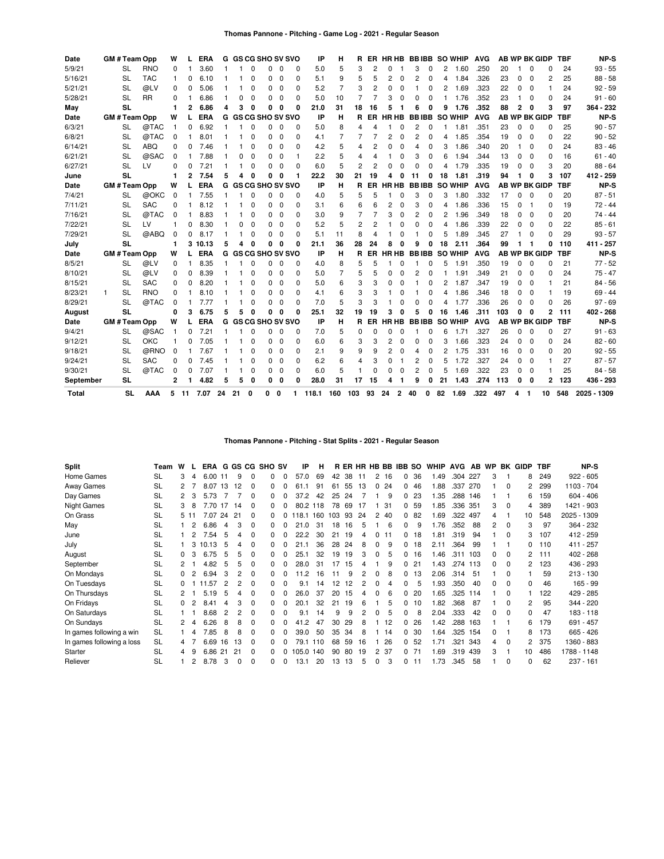| GM # Team Opp<br>Date<br><b>SL</b><br>5/9/21<br><b>RNO</b> |   | W                 |            | <b>ERA</b>     |              |            |    | G GS CG SHO SV SVO |             |                           | IP          | н        | R     |                |     |          |                |              |                | ER HRHB BBIBB SO WHIP | <b>AVG</b> |                |            |     | <b>AB WP BK GIDP</b> | <b>TBF</b>   | NP-S                 |            |             |
|------------------------------------------------------------|---|-------------------|------------|----------------|--------------|------------|----|--------------------|-------------|---------------------------|-------------|----------|-------|----------------|-----|----------|----------------|--------------|----------------|-----------------------|------------|----------------|------------|-----|----------------------|--------------|----------------------|------------|-------------|
|                                                            |   |                   |            | $\Omega$       |              | 3.60       |    |                    | $\sqrt{ }$  | 0                         | 0           | n        | 5.0   | 5              | 3   | 2        | $\Omega$       |              | 3              | $\Omega$              | 2          | 1.60           | .250       | 20  |                      | $\Omega$     | $\Omega$             | 24         | $93 - 55$   |
| 5/16/21                                                    |   | <b>SL</b>         | <b>TAC</b> | 1              | 0            | 6.10       |    |                    | C           | 0                         | 0           | O        | 5.1   | 9              | 5   | 5        | 2              | 0            | 2              | $\Omega$              | 4          | 1.84           | .326       | 23  | 0                    | 0            | 2                    | 25         | $88 - 58$   |
| 5/21/21                                                    |   | SL                | @LV        | $\Omega$       | 0            | 5.06       |    |                    | $\Omega$    | 0                         | 0           | O        | 5.2   | $\overline{7}$ | 3   | 2        | 0              | 0            |                | 0                     | 2          | 1.69           | .323       | 22  | 0                    | 0            |                      | 24         | $92 - 59$   |
| 5/28/21                                                    |   | SL                | <b>RR</b>  | $\Omega$       |              | 6.86       |    | 0                  | 0           | 0                         | 0           | 0        | 5.0   | 10             | 7   |          | 3              | 0            | 0              | $\Omega$              |            | 1.76           | .352       | 23  | 1                    | 0            | 0                    | 24         | $91 - 60$   |
| May                                                        |   | <b>SL</b>         |            | 1              | $\mathbf{2}$ | 6.86       | 4  | 3                  | 0           | 0                         | 0           | 0        | 21.0  | 31             | 18  | 16       | 5              |              | 6              | 0                     | 9          | 1.76           | .352       | 88  | 2                    | $\mathbf 0$  | 3                    | 97         | 364 - 232   |
| Date                                                       |   | <b>GM#TeamOpp</b> |            | W              |              | <b>ERA</b> | G  |                    |             | <b>GS CG SHO SV SVO</b>   |             |          | IP    | н              | R   | ER.      |                | <b>HR HB</b> |                | <b>BBIBB</b>          |            | <b>SO WHIP</b> | <b>AVG</b> |     |                      |              | <b>AB WP BK GIDP</b> | <b>TBF</b> | NP-S        |
| 6/3/21                                                     |   | <b>SL</b>         | @TAC       | 1              | 0            | 6.92       |    | 1                  | $\mathbf 0$ | 0                         | 0           | 0        | 5.0   | 8              | 4   | 4        |                | 0            | 2              | $\mathbf 0$           |            | 1.81           | .351       | 23  | 0                    | 0            | 0                    | 25         | $90 - 57$   |
| 6/8/21                                                     |   | SL                | @TAC       | $\mathbf 0$    | 1            | 8.01       |    |                    | $\mathbf 0$ | 0                         | $\mathbf 0$ | 0        | 4.1   | $\overline{7}$ |     |          | $\overline{c}$ | 0            | 2              | 0                     | 4          | 1.85           | .354       | 19  | 0                    | 0            | 0                    | 22         | $90 - 52$   |
| 6/14/21                                                    |   | SL                | <b>ABQ</b> | $\mathbf 0$    | $\Omega$     | 7.46       |    |                    | $\Omega$    | 0                         | $\mathbf 0$ | $\Omega$ | 4.2   | 5              | 4   | 2        | $\Omega$       | $\Omega$     | 4              | 0                     | 3          | 1.86           | .340       | 20  | 1                    | 0            | $\Omega$             | 24         | $83 - 46$   |
| 6/21/21                                                    |   | <b>SL</b>         | @SAC       | $\Omega$       |              | 7.88       |    | 0                  | $\Omega$    | 0                         | $\Omega$    |          | 2.2   | 5              | 4   | 4        |                | $\Omega$     | 3              | $\Omega$              | 6          | 1.94           | .344       | 13  | 0                    | $\Omega$     | $\Omega$             | 16         | $61 - 40$   |
| 6/27/21                                                    |   | <b>SL</b>         | LV         | $\mathbf 0$    | 0            | 7.21       |    |                    | $\mathbf 0$ | 0                         | 0           | $\Omega$ | 6.0   | 5              | 2   | 2        | 0              | 0            | $\Omega$       | 0                     | Δ          | 1.79           | .335       | 19  | 0                    | 0            | 3                    | 20         | $88 - 64$   |
| June                                                       |   | <b>SL</b>         |            | 1              | 2            | 7.54       | 5  | 4                  | 0           | 0                         | 0           |          | 22.2  | 30             | 21  | 19       | 4              | 0            | 11             | 0                     | 18         | 1.81           | .319       | 94  | 1                    | $\mathbf 0$  | 3                    | 107        | 412 - 259   |
| Date                                                       |   | GM # Team Opp     |            | W              |              | <b>ERA</b> |    |                    |             | <b>G GS CG SHO SV SVO</b> |             |          | IP    | н              | R   | ER.      |                | <b>HR HB</b> | <b>BBIBB</b>   |                       |            | <b>SO WHIP</b> | <b>AVG</b> |     |                      |              | <b>AB WP BK GIDP</b> | <b>TBF</b> | NP-S        |
| 7/4/21                                                     |   | SL                | @OKC       | 0              |              | 7.55       | 1  |                    | 0           | 0                         | $\mathbf 0$ | $\Omega$ | 4.0   | 5              | 5   | 5        | 1              | $\Omega$     | 3              | 0                     | 3          | 1.80           | .332       | 17  | 0                    | $\Omega$     | 0                    | 20         | $87 - 51$   |
| 7/11/21                                                    |   | <b>SL</b>         | <b>SAC</b> | $\mathbf 0$    | $\mathbf{1}$ | 8.12       | 1  | 1                  | $\Omega$    | 0                         | $\mathbf 0$ | $\Omega$ | 3.1   | 6              | 6   | 6        | 2              | 0            | 3              | $\Omega$              | 4          | 1.86           | .336       | 15  | $\Omega$             | $\mathbf{1}$ | $\Omega$             | 19         | $72 - 44$   |
| 7/16/21                                                    |   | <b>SL</b>         | @TAC       | $\mathbf 0$    |              | 8.83       |    |                    | $\Omega$    | 0                         | $\Omega$    | $\Omega$ | 3.0   | 9              | 7   | 7        | 3              | $\Omega$     | $\overline{c}$ | $\Omega$              | 2          | 1.96           | .349       | 18  | $\Omega$             | $\Omega$     | $\Omega$             | 20         | $74 - 44$   |
| 7/22/21                                                    |   | <b>SL</b>         | LV         | $\mathbf{1}$   | 0            | 8.30       |    | 0                  | $\Omega$    | 0                         | 0           | 0        | 5.2   | 5              | 2   | 2        |                | 0            | O              | 0                     | 4          | 1.86           | .339       | 22  | 0                    | 0            | 0                    | 22         | $85 - 61$   |
| 7/29/21                                                    |   | <b>SL</b>         | @ABQ       | $\mathbf 0$    | 0            | 8.17       |    | 1                  | 0           | 0                         | 0           | $\Omega$ | 5.1   | 11             | 8   | 4        |                | 0            |                | 0                     | 5          | 1.89           | .345       | 27  | 1                    | $\Omega$     | O                    | 29         | $93 - 57$   |
| July                                                       |   | <b>SL</b>         |            | 1              | 3            | 10.13      | 5  | 4                  | 0           | 0                         | 0           | $\Omega$ | 21.1  | 36             | 28  | 24       | 8              | O            | 9              | 0                     | 18         | 2.11           | .364       | 99  | 1                    | 1            | O                    | 110        | 411 - 257   |
| Date                                                       |   | <b>GM#TeamOpp</b> |            | W              |              | <b>ERA</b> |    |                    |             | G GS CG SHO SV SVO        |             |          | IP    | н              |     |          | R ER HRHB      |              |                | <b>BBIBB</b>          |            | <b>SO WHIP</b> | <b>AVG</b> |     |                      |              | <b>AB WP BK GIDP</b> | <b>TBF</b> | NP-S        |
| 8/5/21                                                     |   | <b>SL</b>         | @LV        | 0              | 1            | 8.35       |    |                    | $\Omega$    | 0                         | 0           | O        | 4.0   | 8              | 5   | 5        |                | $\Omega$     |                | 0                     | 5          | 1.91           | .350       | 19  | 0                    | C            | C                    | 21         | $77 - 52$   |
| 8/10/21                                                    |   | <b>SL</b>         | @LV        | $\Omega$       | 0            | 8.39       |    |                    | $\mathbf 0$ | 0                         | 0           | $\Omega$ | 5.0   | 7              | 5   | 5        | 0              | 0            | 2              | 0                     |            | 1.91           | .349       | 21  | 0                    | $\Omega$     | O                    | 24         | $75 - 47$   |
| 8/15/21                                                    |   | <b>SL</b>         | <b>SAC</b> | $\Omega$       | $\Omega$     | 8.20       |    |                    | 0           | 0                         | $\mathbf 0$ | $\Omega$ | 5.0   | 6              | 3   | 3        | $\Omega$       | $\Omega$     |                | 0                     | 2          | 1.87           | .347       | 19  | 0                    | $\Omega$     |                      | 21         | $84 - 56$   |
| 8/23/21                                                    | 1 | <b>SL</b>         | <b>RNO</b> | $\Omega$       |              | 8.10       | 1  | 1                  | $\Omega$    | 0                         | $\Omega$    | $\Omega$ | 4.1   | 6              | 3   | 3        |                | $\Omega$     |                | $\Omega$              | 4          | 1.86           | .346       | 18  | $\Omega$             | $\Omega$     |                      | 19         | $69 - 44$   |
| 8/29/21                                                    |   | <b>SL</b>         | @TAC       | 0              | -1           | 7.77       | 1  | 1                  | 0           | 0                         | 0           | 0        | 7.0   | 5              | 3   | 3        |                | $\Omega$     | $\Omega$       | 0                     | 4          | 1.77           | .336       | 26  | $\Omega$             | 0            | O                    | 26         | $97 - 69$   |
| August                                                     |   | <b>SL</b>         |            | 0              | 3            | 6.75       | 5  | 5                  | 0           | 0                         | 0           | 0        | 25.1  | 32             | 19  | 19       | 3              | $\Omega$     | 5              | 0                     | 16         | 1.46           | .311       | 103 | 0                    | $\Omega$     | 2                    | 111        | $402 - 268$ |
| Date                                                       |   | <b>GM#TeamOpp</b> |            | W              |              | <b>ERA</b> |    |                    |             | <b>G GS CG SHO SV SVO</b> |             |          | IP    | н              | R   | ER.      |                | <b>HR HB</b> | <b>BBIBB</b>   |                       |            | <b>SO WHIP</b> | <b>AVG</b> |     |                      |              | <b>AB WP BK GIDP</b> | <b>TBF</b> | NP-S        |
| 9/4/21                                                     |   | <b>SL</b>         | @SAC       | $\mathbf{1}$   | 0            | 7.21       |    |                    | $\Omega$    | 0                         | 0           | $\Omega$ | 7.0   | 5              | 0   | $\Omega$ | $\Omega$       | 0            |                | $\Omega$              | 6          | 1.71           | .327       | 26  | 0                    | $\Omega$     | $\Omega$             | 27         | $91 - 63$   |
| 9/12/21                                                    |   | <b>SL</b>         | OKC        | 1              | $\Omega$     | 7.05       |    |                    | $\Omega$    | 0                         | $\mathbf 0$ | $\Omega$ | 6.0   | 6              | 3   | 3        | 2              | $\Omega$     | $\Omega$       | $\Omega$              | 3          | 1.66           | .323       | 24  | $\Omega$             | $\Omega$     | $\Omega$             | 24         | $82 - 60$   |
| 9/18/21                                                    |   | <b>SL</b>         | @RNO       | 0              |              | 7.67       |    |                    | 0           | 0                         | 0           | 0        | 2.1   | 9              | 9   | 9        | 2              | O            | Δ              | 0                     | 2          | 1.75           | .331       | 16  | 0                    | 0            | 0                    | 20         | $92 - 55$   |
| 9/24/21                                                    |   | <b>SL</b>         | <b>SAC</b> | $\mathbf 0$    | 0            | 7.45       |    |                    | 0           | 0                         | 0           | $\Omega$ | 6.2   | 6              | 4   | 3        | 0              |              | 2              | 0                     | 5          | 1.72           | .327       | 24  | 0                    | 0            |                      | 27         | $87 - 57$   |
| 9/30/21                                                    |   | SL                | @TAC       | $\mathbf 0$    | 0            | 7.07       |    | 1                  | 0           | 0                         | $\mathbf 0$ | $\Omega$ | 6.0   | 5              | 1   | $\Omega$ | O              | O            | 2              | $\Omega$              | 5          | 1.69           | .322       | 23  | 0                    | $\Omega$     |                      | 25         | $84 - 58$   |
| September                                                  |   | SL                |            | $\overline{2}$ | 1            | 4.82       | 5  | 5                  | 0           | 0                         | 0           | O        | 28.0  | 31             | 17  | 15       | 4              |              | 9              | 0                     | 21         | 1.43           | .274       | 113 | 0                    | 0            | $\mathbf{2}$         | 123        | 436 - 293   |
| Total                                                      |   | SL                | AAA        |                |              | 5 11 7.07  | 24 | 21                 | 0           | $0\quad 0$                |             |          | 118.1 | 160            | 103 | 93       | 24             |              | 240            | 0                     | 82         | 1.69           | .322       | 497 | 4                    | -1           | $10-10$              | 548        | 2025 - 1309 |

### **Thomas Pannone - Pitching - Stat Splits - 2021 - Regular Season**

| Split                     | Team      | W |      | <b>ERA</b> |    | G GS        | CG       | <b>SHO SV</b> |          | IP        | н   |     |    |    |          |    | R ER HR HB BB IBB SO |     | <b>WHIP</b> | <b>AVG</b> | AB  | <b>WP</b> |          | <b>BK GIDP</b> | <b>TBF</b> | NP-S        |
|---------------------------|-----------|---|------|------------|----|-------------|----------|---------------|----------|-----------|-----|-----|----|----|----------|----|----------------------|-----|-------------|------------|-----|-----------|----------|----------------|------------|-------------|
| Home Games                | <b>SL</b> | 3 | 4    | 6.00       | 11 | 9           | $\Omega$ | 0             |          | 57.0      | 69  | 42  | 38 | 11 | 2        | 16 | 0                    | 36  | 1.49        | .304       | 227 | 3         |          | 8              | 249        | $922 - 605$ |
| Away Games                | <b>SL</b> |   |      | 8.07       | 13 | 12          | 0        |               |          | 61        | 91  | 61  | 55 | 13 | 0        | 24 | 0                    | 46  | 1.88        | .337       | 270 |           | 0        |                | 299        | 1103 - 704  |
| Day Games                 | SL        |   | 3    | 5.73       |    |             | 0        | 0             |          | 37.2      | 42  | 25  | 24 |    |          | 9  | 0                    | 23  | 1.35        | .288       | 146 |           |          | 6              | 159        | $604 - 406$ |
| <b>Night Games</b>        | SL        | 3 | 8    | 7.70       | 17 | 14          | 0        | <sup>0</sup>  |          | 80.2      | 118 | 78  | 69 | 17 |          | 31 | 0                    | -59 | 1.85        | .336 351   |     | 3         | $\Omega$ | 4              | 389        | 1421 - 903  |
| On Grass                  | SL        |   | 5 11 | 7.07 24    |    | $2^{\circ}$ | 0        | 0             |          | 118.1 160 |     | 103 | 93 | 24 | 2        | 40 | 0                    | -82 | 1.69        | .322       | 497 | 4         |          | 10             | 548        | 2025 - 1309 |
| May                       | SL        |   |      | 6.86       | 4  | 3           | 0        | 0             |          | 21.0      | 31  | 18  | 16 | 5  |          | 6  | 0                    | 9   | 1.76        | .352       | 88  | 2         | $\Omega$ | 3              | 97         | 364 - 232   |
| June                      | <b>SL</b> |   |      | 7.54       | 5  | 4           | 0        | 0             |          | 22.2      | 30  | 21  | 19 |    | 0        | 11 | 0                    | 18  | 1.81        | .319       | 94  |           | 0        | 3              | 107        | 412 - 259   |
| July                      | <b>SL</b> |   | 3    | 10.13      | 5  | 4           | $\Omega$ | <sup>0</sup>  |          | 21.1      | 36  | 28  | 24 | 8  | 0        | 9  | 0                    | 18  | 2.11        | .364       | 99  |           |          | 0              | 110        | 411 - 257   |
| August                    | <b>SL</b> | 0 | 3    | 6.75       | 5  | 5           | 0        | 0             |          | 25.1      | 32  | 19  | 19 | 3  | 0        | 5  | 0                    | 16  | 1.46        | .311       | 103 | 0         | 0        | $\overline{c}$ | 111        | $402 - 268$ |
| September                 | SL        |   |      | 4.82       | 5  | 5           | $\Omega$ | <sup>0</sup>  |          | 28.0      | 31  | 17  | 15 |    |          | 9  | 0                    | 21  | 1.43        | .274       | 113 | 0         | 0        | 2              | 123        | 436 - 293   |
| On Mondays                | <b>SL</b> | 0 |      | 6.94       | 3  | 2           | 0        |               |          | 1.2       | 16  |     | 9  |    | 0        | 8  | 0                    | 13  | 2.06        | .314       | 51  |           | 0        |                | 59         | $213 - 130$ |
| On Tuesdays               | <b>SL</b> | 0 |      | 11.57      |    |             | 0        | 0             |          | 9.1       | 14  | 12  | 12 |    | $\Omega$ | 4  | 0                    | 5   | 1.93        | .350       | 40  | 0         | 0        | 0              | 46         | 165 - 99    |
| On Thursdays              | <b>SL</b> |   |      | 5.19       | 5  | 4           | 0        | <sup>0</sup>  |          | 26.0      | 37  | 20  | 15 | 4  | $\Omega$ | 6  | 0                    | 20  | 1.65        | .325       | 114 |           | 0        |                | 122        | 429 - 285   |
| On Fridays                | <b>SL</b> | 0 | 2    | 8.41       | 4  | 3           | 0        | <sup>0</sup>  |          | 20.1      | 32  | 21  | 19 |    |          | 5  | 0                    | 10  | 1.82        | .368       | 87  |           | O        | 2              | 95         | 344 - 220   |
| On Saturdays              | <b>SL</b> |   |      | 8.68       |    |             | 0        | 0             | $\Omega$ | 9.1       | 14  | 9   | 9  |    | $\Omega$ | 5  | $\Omega$             | 8   | 2.04        | .333       | 42  | 0         | $\Omega$ | 0              | 47         | 183 - 118   |
| On Sundays                | <b>SL</b> |   | 4    | 6.26       | 8  | 8           | 0        | 0             |          | 41.2      | 47  | 30  | 29 |    |          | 12 | 0                    | 26  | 1.42        | .288       | 163 |           |          | 6              | 179        | 691 - 457   |
| In games following a win  | SL        |   |      | 7.85       | 8  | 8           | $\Omega$ | 0             |          | 39.0      | 50  | 35  | 34 |    |          | 14 | 0                    | 30  | 1.64        | .325       | 154 | 0         |          | 8              | 173        | 665 - 426   |
| In games following a loss | <b>SL</b> | 4 |      | 6.69       | 16 | 13          | 0        | 0             |          | 79.1      | 110 | 68  | 59 | 16 |          | 26 | 0                    | -52 | 1.71        | .321       | 343 | 4         | $\Omega$ | $\overline{2}$ | 375        | 1360 - 883  |
| Starter                   | SL        | 4 | 9    | 6.86       | 21 | 21          | 0        | 0             |          | 105.0     | 140 | 90  | 80 | 19 | 2        | 37 | 0                    | 71  | 1.69        | .319 439   |     | 3         |          | 10             | 486        | 1788 - 1148 |
| Reliever                  | <b>SL</b> |   | 2    | 8.78       | 3  | 0           | $\Omega$ | 0             |          | 13.1      | 20  | 13  | 13 | 5  | 0        | 3  | 0                    | -11 | 1.73        | .345       | 58  |           | 0        | 0              | 62         | 237 - 161   |